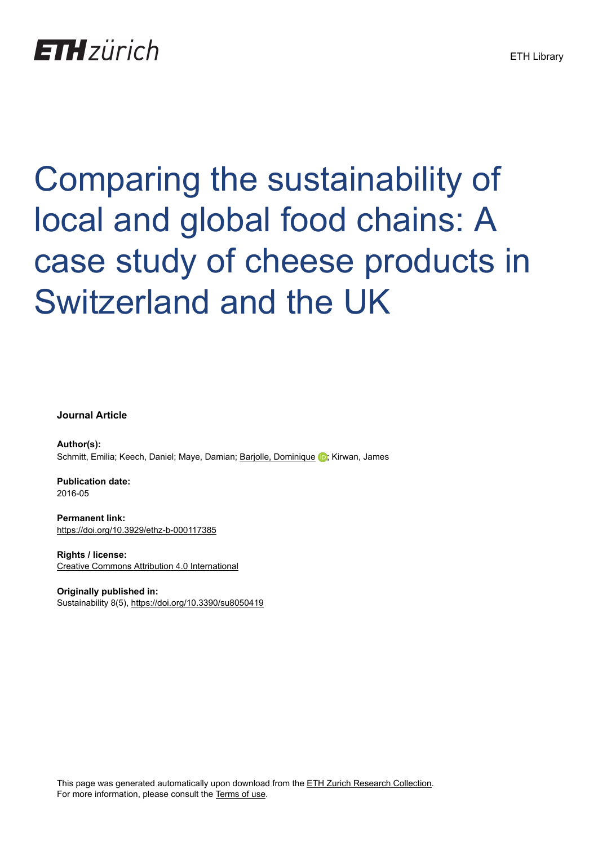# **ETH** zürich

Comparing the sustainability of local and global food chains: A case study of cheese products in Switzerland and the UK

**Journal Article**

**Author(s):** Schmitt, Emilia; Keech, Daniel; Maye, Damian; [Barjolle, Dominique](https://orcid.org/0000-0001-5125-9686) D; Kirwan, James

**Publication date:** 2016-05

**Permanent link:** <https://doi.org/10.3929/ethz-b-000117385>

**Rights / license:** [Creative Commons Attribution 4.0 International](http://creativecommons.org/licenses/by/4.0/)

**Originally published in:** Sustainability 8(5), <https://doi.org/10.3390/su8050419>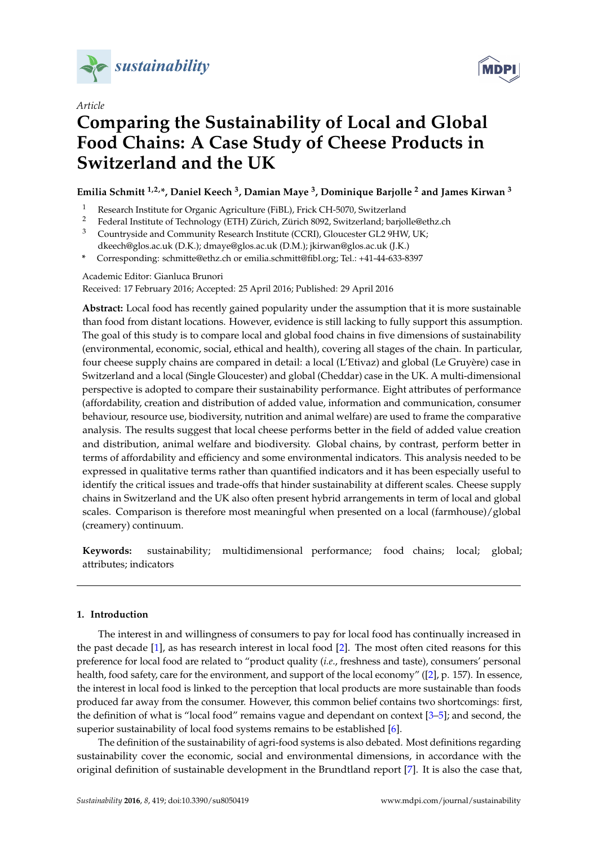

*Article*



# **Comparing the Sustainability of Local and Global Food Chains: A Case Study of Cheese Products in Switzerland and the UK**

## **Emilia Schmitt 1,2,\*, Daniel Keech <sup>3</sup> , Damian Maye <sup>3</sup> , Dominique Barjolle <sup>2</sup> and James Kirwan <sup>3</sup>**

- 1 Research Institute for Organic Agriculture (FiBL), Frick CH-5070, Switzerland<br>2 Eederal Institute of Technology (ETH) Zürich Zürich 8092 Switzerland: bario
- <sup>2</sup> Federal Institute of Technology (ETH) Zürich, Zürich 8092, Switzerland; barjolle@ethz.ch
- <sup>3</sup> Countryside and Community Research Institute (CCRI), Gloucester GL2 9HW, UK; dkeech@glos.ac.uk (D.K.); dmaye@glos.ac.uk (D.M.); jkirwan@glos.ac.uk (J.K.)
- **\*** Corresponding: schmitte@ethz.ch or emilia.schmitt@fibl.org; Tel.: +41-44-633-8397

Academic Editor: Gianluca Brunori Received: 17 February 2016; Accepted: 25 April 2016; Published: 29 April 2016

**Abstract:** Local food has recently gained popularity under the assumption that it is more sustainable than food from distant locations. However, evidence is still lacking to fully support this assumption. The goal of this study is to compare local and global food chains in five dimensions of sustainability (environmental, economic, social, ethical and health), covering all stages of the chain. In particular, four cheese supply chains are compared in detail: a local (L'Etivaz) and global (Le Gruyère) case in Switzerland and a local (Single Gloucester) and global (Cheddar) case in the UK. A multi-dimensional perspective is adopted to compare their sustainability performance. Eight attributes of performance (affordability, creation and distribution of added value, information and communication, consumer behaviour, resource use, biodiversity, nutrition and animal welfare) are used to frame the comparative analysis. The results suggest that local cheese performs better in the field of added value creation and distribution, animal welfare and biodiversity. Global chains, by contrast, perform better in terms of affordability and efficiency and some environmental indicators. This analysis needed to be expressed in qualitative terms rather than quantified indicators and it has been especially useful to identify the critical issues and trade-offs that hinder sustainability at different scales. Cheese supply chains in Switzerland and the UK also often present hybrid arrangements in term of local and global scales. Comparison is therefore most meaningful when presented on a local (farmhouse)/global (creamery) continuum.

**Keywords:** sustainability; multidimensional performance; food chains; local; global; attributes; indicators

#### **1. Introduction**

The interest in and willingness of consumers to pay for local food has continually increased in the past decade [\[1\]](#page-18-0), as has research interest in local food [\[2\]](#page-18-1). The most often cited reasons for this preference for local food are related to "product quality (*i.e*., freshness and taste), consumers' personal health, food safety, care for the environment, and support of the local economy" ([\[2\]](#page-18-1), p. 157). In essence, the interest in local food is linked to the perception that local products are more sustainable than foods produced far away from the consumer. However, this common belief contains two shortcomings: first, the definition of what is "local food" remains vague and dependant on context [\[3–](#page-18-2)[5\]](#page-18-3); and second, the superior sustainability of local food systems remains to be established [\[6\]](#page-18-4).

The definition of the sustainability of agri-food systems is also debated. Most definitions regarding sustainability cover the economic, social and environmental dimensions, in accordance with the original definition of sustainable development in the Brundtland report [\[7\]](#page-18-5). It is also the case that,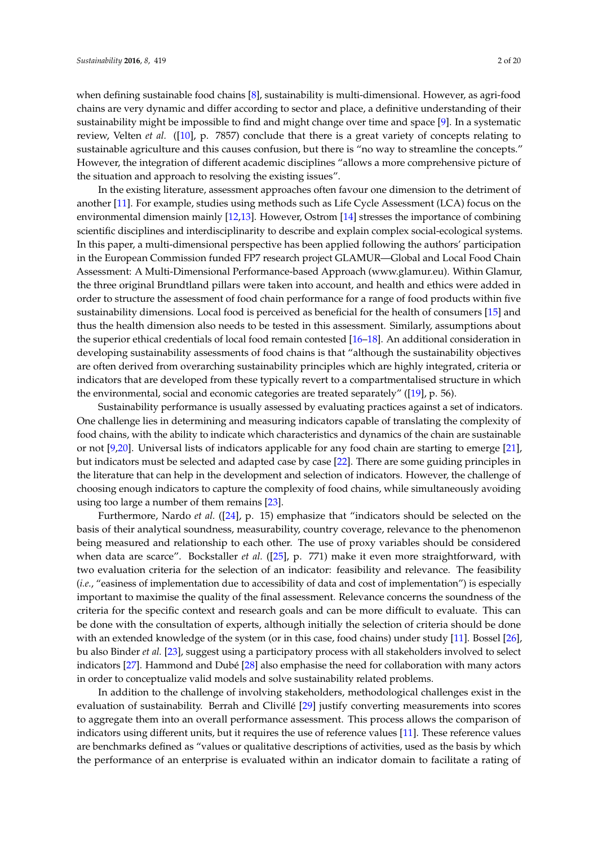when defining sustainable food chains [\[8\]](#page-18-6), sustainability is multi-dimensional. However, as agri-food chains are very dynamic and differ according to sector and place, a definitive understanding of their sustainability might be impossible to find and might change over time and space [\[9\]](#page-18-7). In a systematic review, Velten *et al.* ([\[10\]](#page-18-8), p. 7857) conclude that there is a great variety of concepts relating to sustainable agriculture and this causes confusion, but there is "no way to streamline the concepts." However, the integration of different academic disciplines "allows a more comprehensive picture of the situation and approach to resolving the existing issues".

In the existing literature, assessment approaches often favour one dimension to the detriment of another [\[11\]](#page-18-9). For example, studies using methods such as Life Cycle Assessment (LCA) focus on the environmental dimension mainly [\[12](#page-18-10)[,13\]](#page-18-11). However, Ostrom [\[14\]](#page-18-12) stresses the importance of combining scientific disciplines and interdisciplinarity to describe and explain complex social-ecological systems. In this paper, a multi-dimensional perspective has been applied following the authors' participation in the European Commission funded FP7 research project GLAMUR—Global and Local Food Chain Assessment: A Multi-Dimensional Performance-based Approach (www.glamur.eu). Within Glamur, the three original Brundtland pillars were taken into account, and health and ethics were added in order to structure the assessment of food chain performance for a range of food products within five sustainability dimensions. Local food is perceived as beneficial for the health of consumers [\[15\]](#page-18-13) and thus the health dimension also needs to be tested in this assessment. Similarly, assumptions about the superior ethical credentials of local food remain contested [\[16–](#page-18-14)[18\]](#page-18-15). An additional consideration in developing sustainability assessments of food chains is that "although the sustainability objectives are often derived from overarching sustainability principles which are highly integrated, criteria or indicators that are developed from these typically revert to a compartmentalised structure in which the environmental, social and economic categories are treated separately" ([\[19\]](#page-18-16), p. 56).

Sustainability performance is usually assessed by evaluating practices against a set of indicators. One challenge lies in determining and measuring indicators capable of translating the complexity of food chains, with the ability to indicate which characteristics and dynamics of the chain are sustainable or not [\[9](#page-18-7)[,20\]](#page-18-17). Universal lists of indicators applicable for any food chain are starting to emerge [\[21\]](#page-19-0), but indicators must be selected and adapted case by case [\[22\]](#page-19-1). There are some guiding principles in the literature that can help in the development and selection of indicators. However, the challenge of choosing enough indicators to capture the complexity of food chains, while simultaneously avoiding using too large a number of them remains [\[23\]](#page-19-2).

Furthermore, Nardo *et al.* ([\[24\]](#page-19-3), p. 15) emphasize that "indicators should be selected on the basis of their analytical soundness, measurability, country coverage, relevance to the phenomenon being measured and relationship to each other. The use of proxy variables should be considered when data are scarce". Bockstaller *et al.* ([\[25\]](#page-19-4), p. 771) make it even more straightforward, with two evaluation criteria for the selection of an indicator: feasibility and relevance. The feasibility (*i.e.*, "easiness of implementation due to accessibility of data and cost of implementation") is especially important to maximise the quality of the final assessment. Relevance concerns the soundness of the criteria for the specific context and research goals and can be more difficult to evaluate. This can be done with the consultation of experts, although initially the selection of criteria should be done with an extended knowledge of the system (or in this case, food chains) under study [\[11\]](#page-18-9). Bossel [\[26\]](#page-19-5), bu also Binder *et al.* [\[23\]](#page-19-2), suggest using a participatory process with all stakeholders involved to select indicators [\[27\]](#page-19-6). Hammond and Dubé [\[28\]](#page-19-7) also emphasise the need for collaboration with many actors in order to conceptualize valid models and solve sustainability related problems.

In addition to the challenge of involving stakeholders, methodological challenges exist in the evaluation of sustainability. Berrah and Clivillé [\[29\]](#page-19-8) justify converting measurements into scores to aggregate them into an overall performance assessment. This process allows the comparison of indicators using different units, but it requires the use of reference values [\[11\]](#page-18-9). These reference values are benchmarks defined as "values or qualitative descriptions of activities, used as the basis by which the performance of an enterprise is evaluated within an indicator domain to facilitate a rating of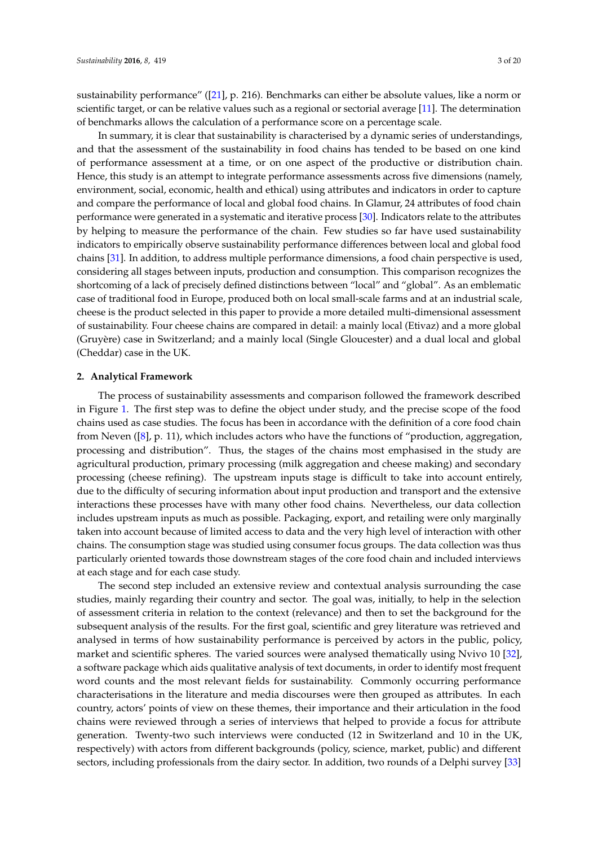sustainability performance" ([\[21\]](#page-19-0), p. 216). Benchmarks can either be absolute values, like a norm or scientific target, or can be relative values such as a regional or sectorial average [\[11\]](#page-18-9). The determination of benchmarks allows the calculation of a performance score on a percentage scale.

In summary, it is clear that sustainability is characterised by a dynamic series of understandings, and that the assessment of the sustainability in food chains has tended to be based on one kind of performance assessment at a time, or on one aspect of the productive or distribution chain. Hence, this study is an attempt to integrate performance assessments across five dimensions (namely, environment, social, economic, health and ethical) using attributes and indicators in order to capture and compare the performance of local and global food chains. In Glamur, 24 attributes of food chain performance were generated in a systematic and iterative process [\[30\]](#page-19-9). Indicators relate to the attributes by helping to measure the performance of the chain. Few studies so far have used sustainability indicators to empirically observe sustainability performance differences between local and global food chains [\[31\]](#page-19-10). In addition, to address multiple performance dimensions, a food chain perspective is used, considering all stages between inputs, production and consumption. This comparison recognizes the shortcoming of a lack of precisely defined distinctions between "local" and "global". As an emblematic case of traditional food in Europe, produced both on local small-scale farms and at an industrial scale, cheese is the product selected in this paper to provide a more detailed multi-dimensional assessment of sustainability. Four cheese chains are compared in detail: a mainly local (Etivaz) and a more global (Gruyère) case in Switzerland; and a mainly local (Single Gloucester) and a dual local and global (Cheddar) case in the UK.

#### **2. Analytical Framework**

The process of sustainability assessments and comparison followed the framework described in Figure [1.](#page-4-0) The first step was to define the object under study, and the precise scope of the food chains used as case studies. The focus has been in accordance with the definition of a core food chain from Neven ([\[8\]](#page-18-6), p. 11), which includes actors who have the functions of "production, aggregation, processing and distribution". Thus, the stages of the chains most emphasised in the study are agricultural production, primary processing (milk aggregation and cheese making) and secondary processing (cheese refining). The upstream inputs stage is difficult to take into account entirely, due to the difficulty of securing information about input production and transport and the extensive interactions these processes have with many other food chains. Nevertheless, our data collection includes upstream inputs as much as possible. Packaging, export, and retailing were only marginally taken into account because of limited access to data and the very high level of interaction with other chains. The consumption stage was studied using consumer focus groups. The data collection was thus particularly oriented towards those downstream stages of the core food chain and included interviews at each stage and for each case study.

The second step included an extensive review and contextual analysis surrounding the case studies, mainly regarding their country and sector. The goal was, initially, to help in the selection of assessment criteria in relation to the context (relevance) and then to set the background for the subsequent analysis of the results. For the first goal, scientific and grey literature was retrieved and analysed in terms of how sustainability performance is perceived by actors in the public, policy, market and scientific spheres. The varied sources were analysed thematically using Nvivo 10 [\[32\]](#page-19-11), a software package which aids qualitative analysis of text documents, in order to identify most frequent word counts and the most relevant fields for sustainability. Commonly occurring performance characterisations in the literature and media discourses were then grouped as attributes. In each country, actors' points of view on these themes, their importance and their articulation in the food chains were reviewed through a series of interviews that helped to provide a focus for attribute generation. Twenty-two such interviews were conducted (12 in Switzerland and 10 in the UK, respectively) with actors from different backgrounds (policy, science, market, public) and different sectors, including professionals from the dairy sector. In addition, two rounds of a Delphi survey [\[33\]](#page-19-12)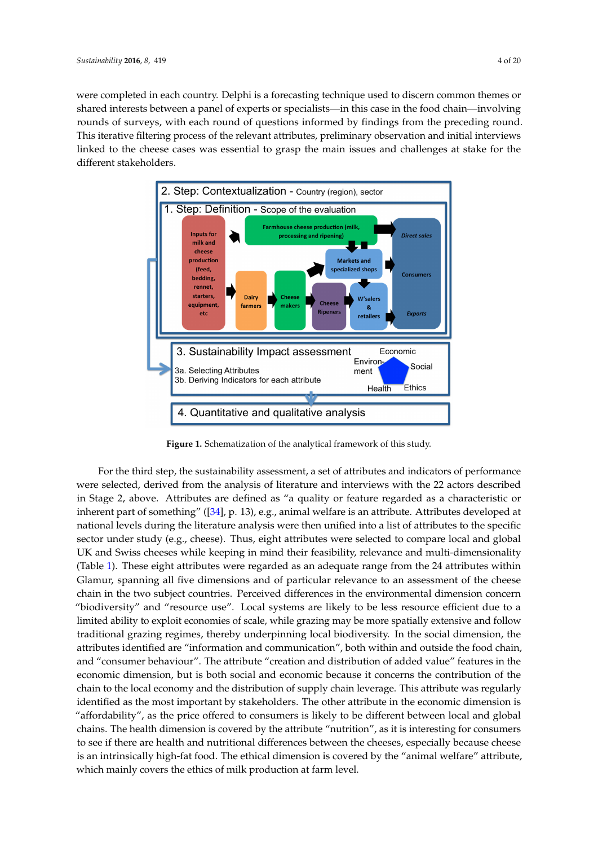were completed in each country. Delphi is a forecasting technique used to discern common themes or shared interests between a panel of experts or specialists—in this case in the food chain—involving rounds of surveys, with each round of questions informed by findings from the preceding round. This iterative filtering process of the relevant attributes, preliminary observation and initial interviews linked to the cheese cases was essential to grasp the main issues and challenges at stake for the different stakeholders. *Sustainability* **2016**, *8*, 419 4 of 21

<span id="page-4-0"></span>

**Figure 1.** Schematization of the analytical framework of this study. **Figure 1.** Schematization of the analytical framework of this study.

The second step included an extensive review and contextual and contextual analysis surrounding the case of  $\alpha$ For the third step, the sustainability assessment, a set of attributes and indicators of performance were selected, derived from the analysis of literature and interviews with the 22 actors described in Stage 2, above. Attributes are defined as "a quality or feature regarded as a characteristic or inherent part of something" ([34], p. 13), e.g., animal welfare is an attribute. Attributes developed at national levels during the literature analysis were then unified into a list of attributes to the specific sector under study (e.g., cheese). Thus, eight attributes were selected to compare local and global UK and Swiss cheeses while keeping in mind their feasibility, relevance and multi-dimensionality (Table [1\)](#page-6-0). These eight attributes were regarded as an adequate range from the 24 attributes within attribute separature and compared as an adequate range from the 21 anniversal Glamur, spanning all five dimensions and of particular relevance to an assessment of the cheese chain in the two subject countries. Perceived differences in the environmental dimension concern "biodiversity" and "resource use". Local systems are likely to be less resource efficient due to a limited ability to exploit economies of scale, while grazing may be more spatially extensive and follow traditional grazing regimes, thereby underpinning local biodiversity. In the social dimension, the attributes identified are "information and communication", both within and outside the food chain, and "consumer behaviour". The attribute "creation and distribution of added value" features in the economic dimension, but is both social and economic because it concerns the contribution of the and initial interviews linked to the cheese cases was essential to grasp the main issues and chain to the local economy and the distribution of supply chain leverage. This attribute was regularly charlenges at stake for the distribution of identified as the most important by stakeholders. The other attribute in the economic dimension is "affordability", as the price offered to consumers is likely to be different between local and global chains. The health dimension is covered by the attribute "nutrition", as it is interesting for consumers to see if there are health and nutritional differences between the cheeses, especially because cheese is an intrinsically high-fat food. The ethical dimension is covered by the "animal welfare" attribute, which mainly covers the ethics of milk production at farm level.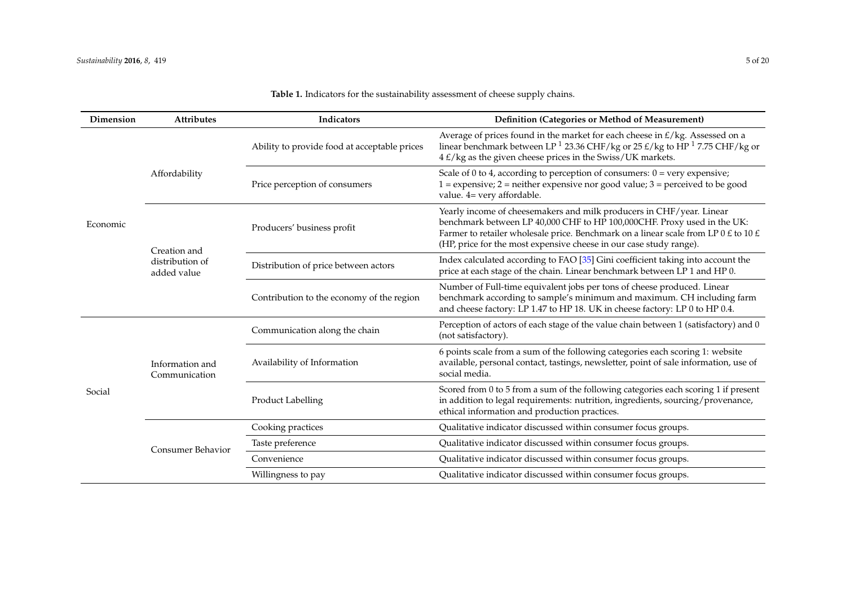| Dimension | <b>Attributes</b>                              | Indicators                                   | Definition (Categories or Method of Measurement)                                                                                                                                                                                                                                                             |  |  |  |  |
|-----------|------------------------------------------------|----------------------------------------------|--------------------------------------------------------------------------------------------------------------------------------------------------------------------------------------------------------------------------------------------------------------------------------------------------------------|--|--|--|--|
| Economic  |                                                | Ability to provide food at acceptable prices | Average of prices found in the market for each cheese in $E/kg$ . Assessed on a<br>linear benchmark between LP <sup>1</sup> 23.36 CHF/kg or 25 $\text{E/kg}$ to HP <sup>1</sup> 7.75 CHF/kg or<br>4 £/kg as the given cheese prices in the Swiss/UK markets.                                                 |  |  |  |  |
|           | Affordability                                  | Price perception of consumers                | Scale of 0 to 4, according to perception of consumers: $0 = \text{very expensive}$ ;<br>$1 =$ expensive; $2 =$ neither expensive nor good value; $3 =$ perceived to be good<br>value. 4= very affordable.                                                                                                    |  |  |  |  |
|           | Creation and<br>distribution of<br>added value | Producers' business profit                   | Yearly income of cheesemakers and milk producers in CHF/year. Linear<br>benchmark between LP 40,000 CHF to HP 100,000CHF. Proxy used in the UK:<br>Farmer to retailer wholesale price. Benchmark on a linear scale from LP 0 £ to 10 £<br>(HP, price for the most expensive cheese in our case study range). |  |  |  |  |
|           |                                                | Distribution of price between actors         | Index calculated according to FAO [35] Gini coefficient taking into account the<br>price at each stage of the chain. Linear benchmark between LP 1 and HP 0.                                                                                                                                                 |  |  |  |  |
|           |                                                | Contribution to the economy of the region    | Number of Full-time equivalent jobs per tons of cheese produced. Linear<br>benchmark according to sample's minimum and maximum. CH including farm<br>and cheese factory: LP 1.47 to HP 18. UK in cheese factory: LP 0 to HP 0.4.                                                                             |  |  |  |  |
| Social    | Information and<br>Communication               | Communication along the chain                | Perception of actors of each stage of the value chain between 1 (satisfactory) and 0<br>(not satisfactory).                                                                                                                                                                                                  |  |  |  |  |
|           |                                                | Availability of Information                  | 6 points scale from a sum of the following categories each scoring 1: website<br>available, personal contact, tastings, newsletter, point of sale information, use of<br>social media.                                                                                                                       |  |  |  |  |
|           |                                                | Product Labelling                            | Scored from 0 to 5 from a sum of the following categories each scoring 1 if present<br>in addition to legal requirements: nutrition, ingredients, sourcing/provenance,<br>ethical information and production practices.                                                                                      |  |  |  |  |
|           | <b>Consumer Behavior</b>                       | Cooking practices                            | Qualitative indicator discussed within consumer focus groups.                                                                                                                                                                                                                                                |  |  |  |  |
|           |                                                | Taste preference                             | Qualitative indicator discussed within consumer focus groups.                                                                                                                                                                                                                                                |  |  |  |  |
|           |                                                | Convenience                                  | Qualitative indicator discussed within consumer focus groups.                                                                                                                                                                                                                                                |  |  |  |  |
|           |                                                | Willingness to pay                           | Qualitative indicator discussed within consumer focus groups.                                                                                                                                                                                                                                                |  |  |  |  |

### **Table 1.** Indicators for the sustainability assessment of cheese supply chains.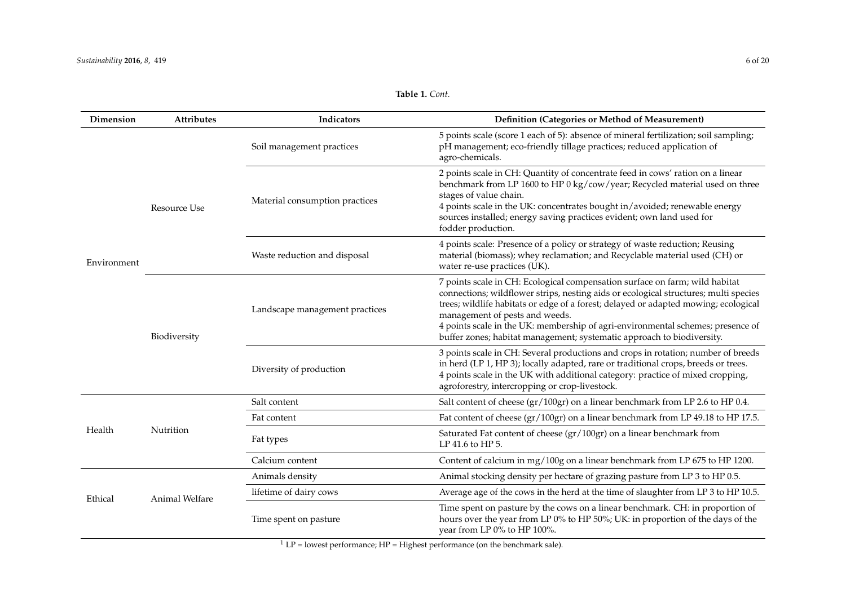<span id="page-6-0"></span>

| Dimension   | Attributes          | Indicators                     | Definition (Categories or Method of Measurement)                                                                                                                                                                                                                                                                                                                                                                                                          |  |  |  |
|-------------|---------------------|--------------------------------|-----------------------------------------------------------------------------------------------------------------------------------------------------------------------------------------------------------------------------------------------------------------------------------------------------------------------------------------------------------------------------------------------------------------------------------------------------------|--|--|--|
| Environment | <b>Resource Use</b> | Soil management practices      | 5 points scale (score 1 each of 5): absence of mineral fertilization; soil sampling;<br>pH management; eco-friendly tillage practices; reduced application of<br>agro-chemicals.                                                                                                                                                                                                                                                                          |  |  |  |
|             |                     | Material consumption practices | 2 points scale in CH: Quantity of concentrate feed in cows' ration on a linear<br>benchmark from LP 1600 to HP 0 kg/cow/year; Recycled material used on three<br>stages of value chain.<br>4 points scale in the UK: concentrates bought in/avoided; renewable energy<br>sources installed; energy saving practices evident; own land used for<br>fodder production.                                                                                      |  |  |  |
|             |                     | Waste reduction and disposal   | 4 points scale: Presence of a policy or strategy of waste reduction; Reusing<br>material (biomass); whey reclamation; and Recyclable material used (CH) or<br>water re-use practices (UK).                                                                                                                                                                                                                                                                |  |  |  |
|             | Biodiversity        | Landscape management practices | 7 points scale in CH: Ecological compensation surface on farm; wild habitat<br>connections; wildflower strips, nesting aids or ecological structures; multi species<br>trees; wildlife habitats or edge of a forest; delayed or adapted mowing; ecological<br>management of pests and weeds.<br>4 points scale in the UK: membership of agri-environmental schemes; presence of<br>buffer zones; habitat management; systematic approach to biodiversity. |  |  |  |
|             |                     | Diversity of production        | 3 points scale in CH: Several productions and crops in rotation; number of breeds<br>in herd (LP 1, HP 3); locally adapted, rare or traditional crops, breeds or trees.<br>4 points scale in the UK with additional category: practice of mixed cropping,<br>agroforestry, intercropping or crop-livestock.                                                                                                                                               |  |  |  |
|             | Nutrition           | Salt content                   | Salt content of cheese (gr/100gr) on a linear benchmark from LP 2.6 to HP 0.4.                                                                                                                                                                                                                                                                                                                                                                            |  |  |  |
| Health      |                     | Fat content                    | Fat content of cheese (gr/100gr) on a linear benchmark from LP 49.18 to HP 17.5.                                                                                                                                                                                                                                                                                                                                                                          |  |  |  |
|             |                     | Fat types                      | Saturated Fat content of cheese (gr/100gr) on a linear benchmark from<br>LP 41.6 to HP 5.                                                                                                                                                                                                                                                                                                                                                                 |  |  |  |
|             |                     | Calcium content                | Content of calcium in mg/100g on a linear benchmark from LP 675 to HP 1200.                                                                                                                                                                                                                                                                                                                                                                               |  |  |  |
| Ethical     | Animal Welfare      | Animals density                | Animal stocking density per hectare of grazing pasture from LP 3 to HP 0.5.                                                                                                                                                                                                                                                                                                                                                                               |  |  |  |
|             |                     | lifetime of dairy cows         | Average age of the cows in the herd at the time of slaughter from LP 3 to HP 10.5.                                                                                                                                                                                                                                                                                                                                                                        |  |  |  |
|             |                     | Time spent on pasture          | Time spent on pasture by the cows on a linear benchmark. CH: in proportion of<br>hours over the year from LP 0% to HP 50%; UK: in proportion of the days of the<br>year from LP 0% to HP 100%.                                                                                                                                                                                                                                                            |  |  |  |

**Table 1.** *Cont.*

 $1 \text{ LP} = \text{lowest performance}$ ;  $\text{HP} = \text{Higher performance}$  (on the benchmark sale).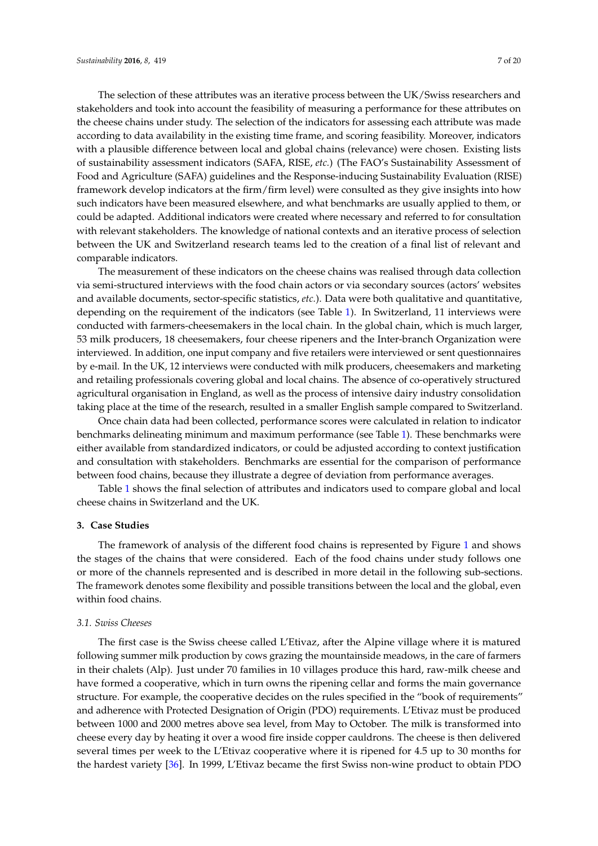The selection of these attributes was an iterative process between the UK/Swiss researchers and stakeholders and took into account the feasibility of measuring a performance for these attributes on the cheese chains under study. The selection of the indicators for assessing each attribute was made according to data availability in the existing time frame, and scoring feasibility. Moreover, indicators with a plausible difference between local and global chains (relevance) were chosen. Existing lists of sustainability assessment indicators (SAFA, RISE, *etc.*) (The FAO's Sustainability Assessment of Food and Agriculture (SAFA) guidelines and the Response-inducing Sustainability Evaluation (RISE) framework develop indicators at the firm/firm level) were consulted as they give insights into how such indicators have been measured elsewhere, and what benchmarks are usually applied to them, or could be adapted. Additional indicators were created where necessary and referred to for consultation with relevant stakeholders. The knowledge of national contexts and an iterative process of selection between the UK and Switzerland research teams led to the creation of a final list of relevant and comparable indicators.

The measurement of these indicators on the cheese chains was realised through data collection via semi-structured interviews with the food chain actors or via secondary sources (actors' websites and available documents, sector-specific statistics, *etc.*). Data were both qualitative and quantitative, depending on the requirement of the indicators (see Table [1\)](#page-6-0). In Switzerland, 11 interviews were conducted with farmers-cheesemakers in the local chain. In the global chain, which is much larger, 53 milk producers, 18 cheesemakers, four cheese ripeners and the Inter-branch Organization were interviewed. In addition, one input company and five retailers were interviewed or sent questionnaires by e-mail. In the UK, 12 interviews were conducted with milk producers, cheesemakers and marketing and retailing professionals covering global and local chains. The absence of co-operatively structured agricultural organisation in England, as well as the process of intensive dairy industry consolidation taking place at the time of the research, resulted in a smaller English sample compared to Switzerland.

Once chain data had been collected, performance scores were calculated in relation to indicator benchmarks delineating minimum and maximum performance (see Table [1\)](#page-6-0). These benchmarks were either available from standardized indicators, or could be adjusted according to context justification and consultation with stakeholders. Benchmarks are essential for the comparison of performance between food chains, because they illustrate a degree of deviation from performance averages.

Table [1](#page-6-0) shows the final selection of attributes and indicators used to compare global and local cheese chains in Switzerland and the UK.

#### <span id="page-7-0"></span>**3. Case Studies**

The framework of analysis of the different food chains is represented by Figure [1](#page-4-0) and shows the stages of the chains that were considered. Each of the food chains under study follows one or more of the channels represented and is described in more detail in the following sub-sections. The framework denotes some flexibility and possible transitions between the local and the global, even within food chains.

#### *3.1. Swiss Cheeses*

The first case is the Swiss cheese called L'Etivaz, after the Alpine village where it is matured following summer milk production by cows grazing the mountainside meadows, in the care of farmers in their chalets (Alp). Just under 70 families in 10 villages produce this hard, raw-milk cheese and have formed a cooperative, which in turn owns the ripening cellar and forms the main governance structure. For example, the cooperative decides on the rules specified in the "book of requirements" and adherence with Protected Designation of Origin (PDO) requirements. L'Etivaz must be produced between 1000 and 2000 metres above sea level, from May to October. The milk is transformed into cheese every day by heating it over a wood fire inside copper cauldrons. The cheese is then delivered several times per week to the L'Etivaz cooperative where it is ripened for 4.5 up to 30 months for the hardest variety [\[36\]](#page-19-15). In 1999, L'Etivaz became the first Swiss non-wine product to obtain PDO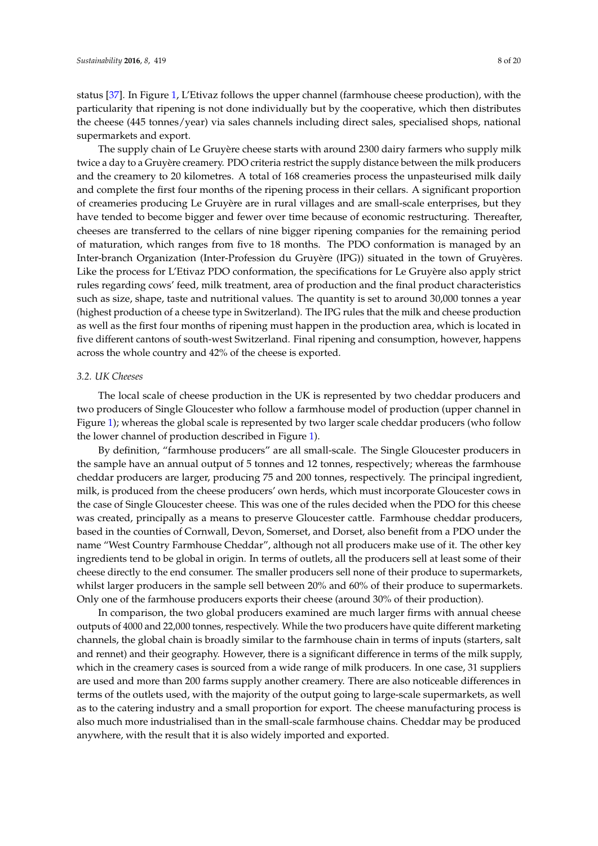status [\[37\]](#page-19-16). In Figure [1,](#page-4-0) L'Etivaz follows the upper channel (farmhouse cheese production), with the particularity that ripening is not done individually but by the cooperative, which then distributes the cheese (445 tonnes/year) via sales channels including direct sales, specialised shops, national supermarkets and export.

The supply chain of Le Gruyère cheese starts with around 2300 dairy farmers who supply milk twice a day to a Gruyère creamery. PDO criteria restrict the supply distance between the milk producers and the creamery to 20 kilometres. A total of 168 creameries process the unpasteurised milk daily and complete the first four months of the ripening process in their cellars. A significant proportion of creameries producing Le Gruyère are in rural villages and are small-scale enterprises, but they have tended to become bigger and fewer over time because of economic restructuring. Thereafter, cheeses are transferred to the cellars of nine bigger ripening companies for the remaining period of maturation, which ranges from five to 18 months. The PDO conformation is managed by an Inter-branch Organization (Inter-Profession du Gruyère (IPG)) situated in the town of Gruyères. Like the process for L'Etivaz PDO conformation, the specifications for Le Gruyère also apply strict rules regarding cows' feed, milk treatment, area of production and the final product characteristics such as size, shape, taste and nutritional values. The quantity is set to around 30,000 tonnes a year (highest production of a cheese type in Switzerland). The IPG rules that the milk and cheese production as well as the first four months of ripening must happen in the production area, which is located in five different cantons of south-west Switzerland. Final ripening and consumption, however, happens across the whole country and 42% of the cheese is exported.

#### *3.2. UK Cheeses*

The local scale of cheese production in the UK is represented by two cheddar producers and two producers of Single Gloucester who follow a farmhouse model of production (upper channel in Figure [1\)](#page-4-0); whereas the global scale is represented by two larger scale cheddar producers (who follow the lower channel of production described in Figure [1\)](#page-4-0).

By definition, "farmhouse producers" are all small-scale. The Single Gloucester producers in the sample have an annual output of 5 tonnes and 12 tonnes, respectively; whereas the farmhouse cheddar producers are larger, producing 75 and 200 tonnes, respectively. The principal ingredient, milk, is produced from the cheese producers' own herds, which must incorporate Gloucester cows in the case of Single Gloucester cheese. This was one of the rules decided when the PDO for this cheese was created, principally as a means to preserve Gloucester cattle. Farmhouse cheddar producers, based in the counties of Cornwall, Devon, Somerset, and Dorset, also benefit from a PDO under the name "West Country Farmhouse Cheddar", although not all producers make use of it. The other key ingredients tend to be global in origin. In terms of outlets, all the producers sell at least some of their cheese directly to the end consumer. The smaller producers sell none of their produce to supermarkets, whilst larger producers in the sample sell between 20% and 60% of their produce to supermarkets. Only one of the farmhouse producers exports their cheese (around 30% of their production).

In comparison, the two global producers examined are much larger firms with annual cheese outputs of 4000 and 22,000 tonnes, respectively. While the two producers have quite different marketing channels, the global chain is broadly similar to the farmhouse chain in terms of inputs (starters, salt and rennet) and their geography. However, there is a significant difference in terms of the milk supply, which in the creamery cases is sourced from a wide range of milk producers. In one case, 31 suppliers are used and more than 200 farms supply another creamery. There are also noticeable differences in terms of the outlets used, with the majority of the output going to large-scale supermarkets, as well as to the catering industry and a small proportion for export. The cheese manufacturing process is also much more industrialised than in the small-scale farmhouse chains. Cheddar may be produced anywhere, with the result that it is also widely imported and exported.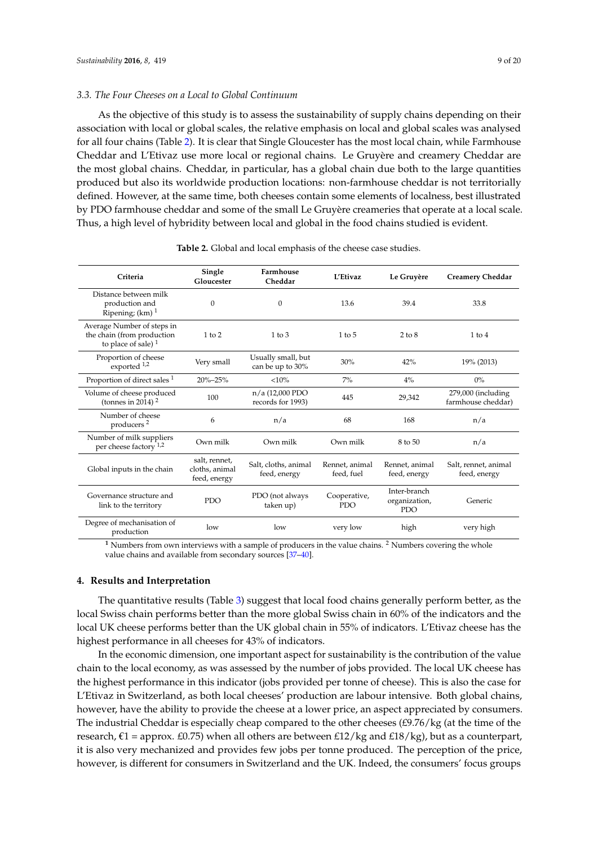#### *3.3. The Four Cheeses on a Local to Global Continuum*

As the objective of this study is to assess the sustainability of supply chains depending on their association with local or global scales, the relative emphasis on local and global scales was analysed for all four chains (Table [2\)](#page-9-0). It is clear that Single Gloucester has the most local chain, while Farmhouse Cheddar and L'Etivaz use more local or regional chains. Le Gruyère and creamery Cheddar are the most global chains. Cheddar, in particular, has a global chain due both to the large quantities produced but also its worldwide production locations: non-farmhouse cheddar is not territorially defined. However, at the same time, both cheeses contain some elements of localness, best illustrated by PDO farmhouse cheddar and some of the small Le Gruyère creameries that operate at a local scale. Thus, a high level of hybridity between local and global in the food chains studied is evident.

<span id="page-9-0"></span>

| Criteria                                                                          | Single<br>Gloucester                            | Farmhouse<br>Cheddar                   | L'Etivaz                     | Le Gruyère                                  | <b>Creamery Cheddar</b>                  |  |
|-----------------------------------------------------------------------------------|-------------------------------------------------|----------------------------------------|------------------------------|---------------------------------------------|------------------------------------------|--|
| Distance between milk<br>production and<br>Ripening; $(km)$ <sup>1</sup>          | $\Omega$                                        | $\theta$                               | 13.6                         | 39.4                                        | 33.8                                     |  |
| Average Number of steps in<br>the chain (from production<br>to place of sale) $1$ | $1$ to $2$                                      | $1$ to $3$                             | $1$ to $5$                   | $2$ to $8$                                  | $1$ to $4$                               |  |
| Proportion of cheese<br>exported 1,2                                              | Very small                                      | Usually small, but<br>can be up to 30% | 30%                          | 42%                                         | 19% (2013)                               |  |
| Proportion of direct sales <sup>1</sup>                                           | $20\% - 25\%$                                   | <10%                                   | $7\%$                        | $4\%$                                       | $0\%$                                    |  |
| Volume of cheese produced<br>(tonnes in 2014) $2$                                 | 100                                             | n/a (12,000 PDO<br>records for 1993)   | 445<br>29,342                |                                             | 279,000 (including<br>farmhouse cheddar) |  |
| Number of cheese<br>producers <sup>2</sup>                                        | 6                                               | n/a                                    | 68                           | 168                                         | n/a                                      |  |
| Number of milk suppliers<br>per cheese factory $1,2$                              | Own milk                                        | Own milk                               | Own milk                     | 8 to 50                                     | n/a                                      |  |
| Global inputs in the chain                                                        | salt, rennet,<br>cloths, animal<br>feed, energy | Salt, cloths, animal<br>feed, energy   | Rennet, animal<br>feed, fuel | Rennet, animal<br>feed, energy              | Salt, rennet, animal<br>feed, energy     |  |
| Governance structure and<br>link to the territory                                 | PDO                                             | PDO (not always<br>taken up)           | Cooperative,<br><b>PDO</b>   | Inter-branch<br>organization,<br><b>PDO</b> | Generic                                  |  |
| Degree of mechanisation of<br>production                                          | low                                             | low                                    | very low                     | high                                        | very high                                |  |

**Table 2.** Global and local emphasis of the cheese case studies.

<sup>1</sup> Numbers from own interviews with a sample of producers in the value chains. <sup>2</sup> Numbers covering the whole value chains and available from secondary sources [\[37–](#page-19-16)[40\]](#page-19-17).

#### **4. Results and Interpretation**

The quantitative results (Table [3\)](#page-10-0) suggest that local food chains generally perform better, as the local Swiss chain performs better than the more global Swiss chain in 60% of the indicators and the local UK cheese performs better than the UK global chain in 55% of indicators. L'Etivaz cheese has the highest performance in all cheeses for 43% of indicators.

In the economic dimension, one important aspect for sustainability is the contribution of the value chain to the local economy, as was assessed by the number of jobs provided. The local UK cheese has the highest performance in this indicator (jobs provided per tonne of cheese). This is also the case for L'Etivaz in Switzerland, as both local cheeses' production are labour intensive. Both global chains, however, have the ability to provide the cheese at a lower price, an aspect appreciated by consumers. The industrial Cheddar is especially cheap compared to the other cheeses  $(E9.76/kg)$  (at the time of the research,  $\epsilon$ 1 = approx. £0.75) when all others are between £12/kg and £18/kg), but as a counterpart, it is also very mechanized and provides few jobs per tonne produced. The perception of the price, however, is different for consumers in Switzerland and the UK. Indeed, the consumers' focus groups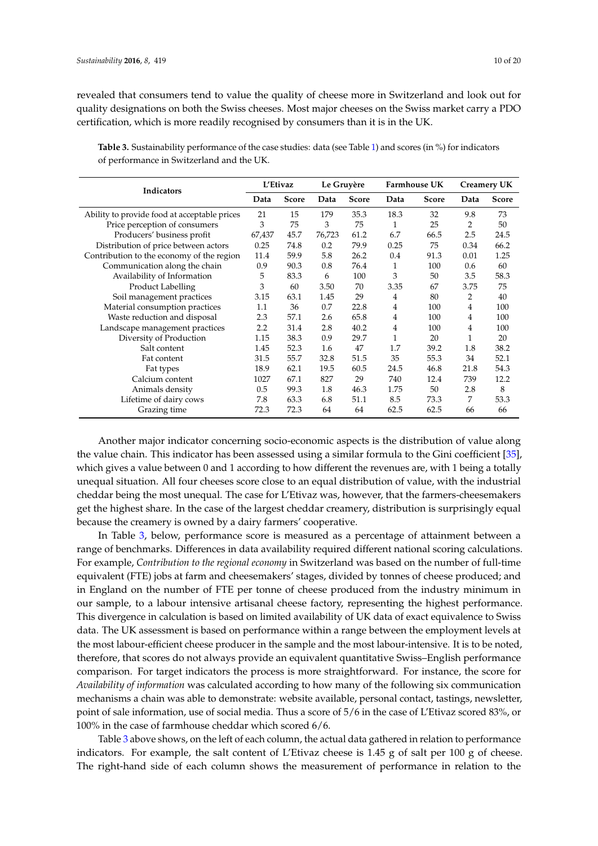revealed that consumers tend to value the quality of cheese more in Switzerland and look out for quality designations on both the Swiss cheeses. Most major cheeses on the Swiss market carry a PDO certification, which is more readily recognised by consumers than it is in the UK.

| Indicators                                   | L'Etivaz |              | Le Gruyère |       | Farmhouse UK |              | <b>Creamery UK</b> |              |
|----------------------------------------------|----------|--------------|------------|-------|--------------|--------------|--------------------|--------------|
|                                              | Data     | <b>Score</b> | Data       | Score | Data         | <b>Score</b> | Data               | <b>Score</b> |
| Ability to provide food at acceptable prices |          | 15           | 179        | 35.3  | 18.3         | 32           | 9.8                | 73           |
| Price perception of consumers                | 3        | 75           | 3          | 75    | 1            | 25           | 2                  | 50           |
| Producers' business profit                   | 67,437   | 45.7         | 76,723     | 61.2  | 6.7          | 66.5         | 2.5                | 24.5         |
| Distribution of price between actors         | 0.25     | 74.8         | 0.2        | 79.9  | 0.25         | 75           | 0.34               | 66.2         |
| Contribution to the economy of the region    | 11.4     | 59.9         | 5.8        | 26.2  | 0.4          | 91.3         | 0.01               | 1.25         |
| Communication along the chain                | 0.9      | 90.3         | 0.8        | 76.4  | 1            | 100          | 0.6                | 60           |
| Availability of Information                  | 5        | 83.3         | 6          | 100   | 3            | 50           | 3.5                | 58.3         |
| Product Labelling                            | 3        | 60           | 3.50       | 70    | 3.35         | 67           | 3.75               | 75           |
| Soil management practices                    | 3.15     | 63.1         | 1.45       | 29    | 4            | 80           | 2                  | 40           |
| Material consumption practices               | 1.1      | 36           | 0.7        | 22.8  | 4            | 100          | 4                  | 100          |
| Waste reduction and disposal                 | 2.3      | 57.1         | 2.6        | 65.8  | 4            | 100          | 4                  | 100          |
| Landscape management practices               | 2.2      | 31.4         | 2.8        | 40.2  | 4            | 100          | 4                  | 100          |
| Diversity of Production                      | 1.15     | 38.3         | 0.9        | 29.7  | 1            | 20           | 1                  | 20           |
| Salt content                                 | 1.45     | 52.3         | 1.6        | 47    | 1.7          | 39.2         | 1.8                | 38.2         |
| Fat content                                  | 31.5     | 55.7         | 32.8       | 51.5  | 35           | 55.3         | 34                 | 52.1         |
| Fat types                                    | 18.9     | 62.1         | 19.5       | 60.5  | 24.5         | 46.8         | 21.8               | 54.3         |
| Calcium content                              | 1027     | 67.1         | 827        | 29    | 740          | 12.4         | 739                | 12.2         |
| Animals density                              | 0.5      | 99.3         | 1.8        | 46.3  | 1.75         | 50           | 2.8                | 8            |
| Lifetime of dairy cows                       | 7.8      | 63.3         | 6.8        | 51.1  | 8.5          | 73.3         | 7                  | 53.3         |
| Grazing time                                 | 72.3     | 72.3         | 64         | 64    | 62.5         | 62.5         | 66                 | 66           |

<span id="page-10-0"></span>**Table 3.** Sustainability performance of the case studies: data (see Table [1\)](#page-6-0) and scores (in %) for indicators of performance in Switzerland and the UK.

Another major indicator concerning socio-economic aspects is the distribution of value along the value chain. This indicator has been assessed using a similar formula to the Gini coefficient [\[35\]](#page-19-18), which gives a value between 0 and 1 according to how different the revenues are, with 1 being a totally unequal situation. All four cheeses score close to an equal distribution of value, with the industrial cheddar being the most unequal. The case for L'Etivaz was, however, that the farmers-cheesemakers get the highest share. In the case of the largest cheddar creamery, distribution is surprisingly equal because the creamery is owned by a dairy farmers' cooperative.

In Table [3,](#page-10-0) below, performance score is measured as a percentage of attainment between a range of benchmarks. Differences in data availability required different national scoring calculations. For example, *Contribution to the regional economy* in Switzerland was based on the number of full-time equivalent (FTE) jobs at farm and cheesemakers' stages, divided by tonnes of cheese produced; and in England on the number of FTE per tonne of cheese produced from the industry minimum in our sample, to a labour intensive artisanal cheese factory, representing the highest performance. This divergence in calculation is based on limited availability of UK data of exact equivalence to Swiss data. The UK assessment is based on performance within a range between the employment levels at the most labour-efficient cheese producer in the sample and the most labour-intensive. It is to be noted, therefore, that scores do not always provide an equivalent quantitative Swiss–English performance comparison. For target indicators the process is more straightforward. For instance, the score for *Availability of information* was calculated according to how many of the following six communication mechanisms a chain was able to demonstrate: website available, personal contact, tastings, newsletter, point of sale information, use of social media. Thus a score of 5/6 in the case of L'Etivaz scored 83%, or 100% in the case of farmhouse cheddar which scored 6/6.

Table [3](#page-10-0) above shows, on the left of each column, the actual data gathered in relation to performance indicators. For example, the salt content of L'Etivaz cheese is 1.45 g of salt per 100 g of cheese. The right-hand side of each column shows the measurement of performance in relation to the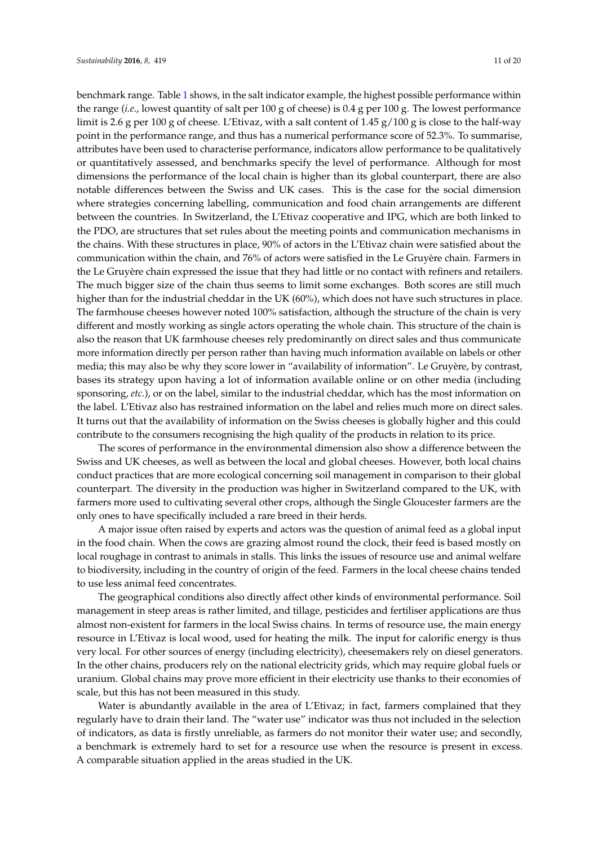benchmark range. Table [1](#page-6-0) shows, in the salt indicator example, the highest possible performance within the range (*i.e*., lowest quantity of salt per 100 g of cheese) is 0.4 g per 100 g. The lowest performance limit is 2.6 g per 100 g of cheese. L'Etivaz, with a salt content of 1.45 g/100 g is close to the half-way point in the performance range, and thus has a numerical performance score of 52.3%. To summarise, attributes have been used to characterise performance, indicators allow performance to be qualitatively or quantitatively assessed, and benchmarks specify the level of performance. Although for most dimensions the performance of the local chain is higher than its global counterpart, there are also notable differences between the Swiss and UK cases. This is the case for the social dimension where strategies concerning labelling, communication and food chain arrangements are different between the countries. In Switzerland, the L'Etivaz cooperative and IPG, which are both linked to the PDO, are structures that set rules about the meeting points and communication mechanisms in the chains. With these structures in place, 90% of actors in the L'Etivaz chain were satisfied about the communication within the chain, and 76% of actors were satisfied in the Le Gruyère chain. Farmers in the Le Gruyère chain expressed the issue that they had little or no contact with refiners and retailers. The much bigger size of the chain thus seems to limit some exchanges. Both scores are still much higher than for the industrial cheddar in the UK (60%), which does not have such structures in place. The farmhouse cheeses however noted 100% satisfaction, although the structure of the chain is very different and mostly working as single actors operating the whole chain. This structure of the chain is also the reason that UK farmhouse cheeses rely predominantly on direct sales and thus communicate more information directly per person rather than having much information available on labels or other media; this may also be why they score lower in "availability of information". Le Gruyère, by contrast, bases its strategy upon having a lot of information available online or on other media (including sponsoring, *etc.*), or on the label, similar to the industrial cheddar, which has the most information on the label. L'Etivaz also has restrained information on the label and relies much more on direct sales. It turns out that the availability of information on the Swiss cheeses is globally higher and this could contribute to the consumers recognising the high quality of the products in relation to its price.

The scores of performance in the environmental dimension also show a difference between the Swiss and UK cheeses, as well as between the local and global cheeses. However, both local chains conduct practices that are more ecological concerning soil management in comparison to their global counterpart. The diversity in the production was higher in Switzerland compared to the UK, with farmers more used to cultivating several other crops, although the Single Gloucester farmers are the only ones to have specifically included a rare breed in their herds.

A major issue often raised by experts and actors was the question of animal feed as a global input in the food chain. When the cows are grazing almost round the clock, their feed is based mostly on local roughage in contrast to animals in stalls. This links the issues of resource use and animal welfare to biodiversity, including in the country of origin of the feed. Farmers in the local cheese chains tended to use less animal feed concentrates.

The geographical conditions also directly affect other kinds of environmental performance. Soil management in steep areas is rather limited, and tillage, pesticides and fertiliser applications are thus almost non-existent for farmers in the local Swiss chains. In terms of resource use, the main energy resource in L'Etivaz is local wood, used for heating the milk. The input for calorific energy is thus very local. For other sources of energy (including electricity), cheesemakers rely on diesel generators. In the other chains, producers rely on the national electricity grids, which may require global fuels or uranium. Global chains may prove more efficient in their electricity use thanks to their economies of scale, but this has not been measured in this study.

Water is abundantly available in the area of L'Etivaz; in fact, farmers complained that they regularly have to drain their land. The "water use" indicator was thus not included in the selection of indicators, as data is firstly unreliable, as farmers do not monitor their water use; and secondly, a benchmark is extremely hard to set for a resource use when the resource is present in excess. A comparable situation applied in the areas studied in the UK.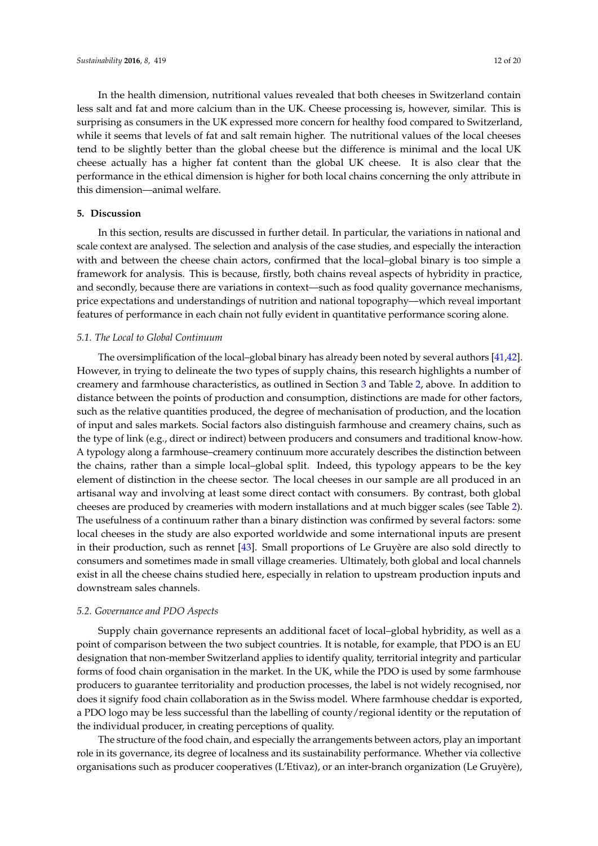In the health dimension, nutritional values revealed that both cheeses in Switzerland contain less salt and fat and more calcium than in the UK. Cheese processing is, however, similar. This is surprising as consumers in the UK expressed more concern for healthy food compared to Switzerland, while it seems that levels of fat and salt remain higher. The nutritional values of the local cheeses tend to be slightly better than the global cheese but the difference is minimal and the local UK cheese actually has a higher fat content than the global UK cheese. It is also clear that the performance in the ethical dimension is higher for both local chains concerning the only attribute in this dimension—animal welfare.

#### **5. Discussion**

In this section, results are discussed in further detail. In particular, the variations in national and scale context are analysed. The selection and analysis of the case studies, and especially the interaction with and between the cheese chain actors, confirmed that the local–global binary is too simple a framework for analysis. This is because, firstly, both chains reveal aspects of hybridity in practice, and secondly, because there are variations in context—such as food quality governance mechanisms, price expectations and understandings of nutrition and national topography—which reveal important features of performance in each chain not fully evident in quantitative performance scoring alone.

#### *5.1. The Local to Global Continuum*

The oversimplification of the local–global binary has already been noted by several authors [\[41](#page-19-19)[,42\]](#page-19-20). However, in trying to delineate the two types of supply chains, this research highlights a number of creamery and farmhouse characteristics, as outlined in Section [3](#page-7-0) and Table [2,](#page-9-0) above. In addition to distance between the points of production and consumption, distinctions are made for other factors, such as the relative quantities produced, the degree of mechanisation of production, and the location of input and sales markets. Social factors also distinguish farmhouse and creamery chains, such as the type of link (e.g., direct or indirect) between producers and consumers and traditional know-how. A typology along a farmhouse–creamery continuum more accurately describes the distinction between the chains, rather than a simple local–global split. Indeed, this typology appears to be the key element of distinction in the cheese sector. The local cheeses in our sample are all produced in an artisanal way and involving at least some direct contact with consumers. By contrast, both global cheeses are produced by creameries with modern installations and at much bigger scales (see Table [2\)](#page-9-0). The usefulness of a continuum rather than a binary distinction was confirmed by several factors: some local cheeses in the study are also exported worldwide and some international inputs are present in their production, such as rennet [\[43\]](#page-19-21). Small proportions of Le Gruyère are also sold directly to consumers and sometimes made in small village creameries. Ultimately, both global and local channels exist in all the cheese chains studied here, especially in relation to upstream production inputs and downstream sales channels.

#### *5.2. Governance and PDO Aspects*

Supply chain governance represents an additional facet of local–global hybridity, as well as a point of comparison between the two subject countries. It is notable, for example, that PDO is an EU designation that non-member Switzerland applies to identify quality, territorial integrity and particular forms of food chain organisation in the market. In the UK, while the PDO is used by some farmhouse producers to guarantee territoriality and production processes, the label is not widely recognised, nor does it signify food chain collaboration as in the Swiss model. Where farmhouse cheddar is exported, a PDO logo may be less successful than the labelling of county/regional identity or the reputation of the individual producer, in creating perceptions of quality.

The structure of the food chain, and especially the arrangements between actors, play an important role in its governance, its degree of localness and its sustainability performance. Whether via collective organisations such as producer cooperatives (L'Etivaz), or an inter-branch organization (Le Gruyère),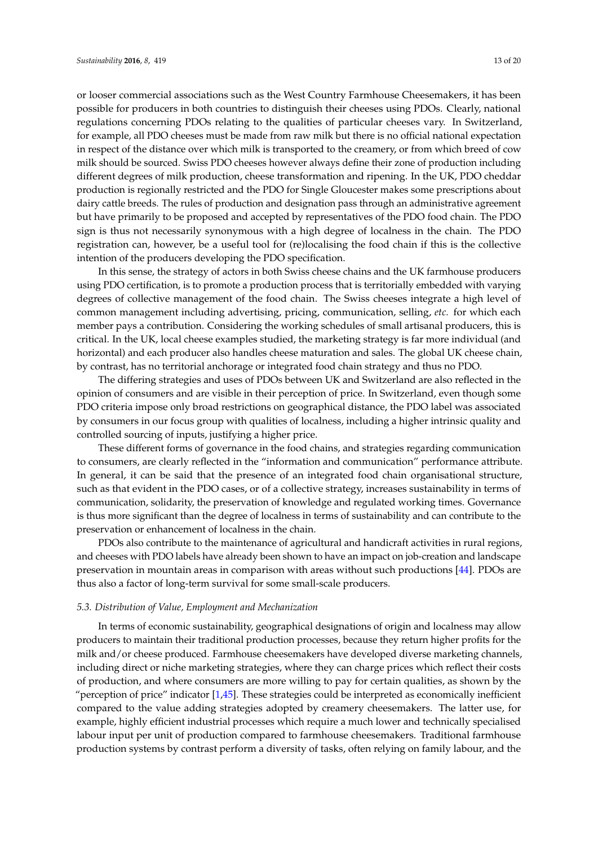or looser commercial associations such as the West Country Farmhouse Cheesemakers, it has been possible for producers in both countries to distinguish their cheeses using PDOs. Clearly, national regulations concerning PDOs relating to the qualities of particular cheeses vary. In Switzerland, for example, all PDO cheeses must be made from raw milk but there is no official national expectation in respect of the distance over which milk is transported to the creamery, or from which breed of cow milk should be sourced. Swiss PDO cheeses however always define their zone of production including different degrees of milk production, cheese transformation and ripening. In the UK, PDO cheddar production is regionally restricted and the PDO for Single Gloucester makes some prescriptions about dairy cattle breeds. The rules of production and designation pass through an administrative agreement but have primarily to be proposed and accepted by representatives of the PDO food chain. The PDO sign is thus not necessarily synonymous with a high degree of localness in the chain. The PDO registration can, however, be a useful tool for (re)localising the food chain if this is the collective intention of the producers developing the PDO specification.

In this sense, the strategy of actors in both Swiss cheese chains and the UK farmhouse producers using PDO certification, is to promote a production process that is territorially embedded with varying degrees of collective management of the food chain. The Swiss cheeses integrate a high level of common management including advertising, pricing, communication, selling, *etc.* for which each member pays a contribution. Considering the working schedules of small artisanal producers, this is critical. In the UK, local cheese examples studied, the marketing strategy is far more individual (and horizontal) and each producer also handles cheese maturation and sales. The global UK cheese chain, by contrast, has no territorial anchorage or integrated food chain strategy and thus no PDO.

The differing strategies and uses of PDOs between UK and Switzerland are also reflected in the opinion of consumers and are visible in their perception of price. In Switzerland, even though some PDO criteria impose only broad restrictions on geographical distance, the PDO label was associated by consumers in our focus group with qualities of localness, including a higher intrinsic quality and controlled sourcing of inputs, justifying a higher price.

These different forms of governance in the food chains, and strategies regarding communication to consumers, are clearly reflected in the "information and communication" performance attribute. In general, it can be said that the presence of an integrated food chain organisational structure, such as that evident in the PDO cases, or of a collective strategy, increases sustainability in terms of communication, solidarity, the preservation of knowledge and regulated working times. Governance is thus more significant than the degree of localness in terms of sustainability and can contribute to the preservation or enhancement of localness in the chain.

PDOs also contribute to the maintenance of agricultural and handicraft activities in rural regions, and cheeses with PDO labels have already been shown to have an impact on job-creation and landscape preservation in mountain areas in comparison with areas without such productions [\[44\]](#page-20-0). PDOs are thus also a factor of long-term survival for some small-scale producers.

#### *5.3. Distribution of Value, Employment and Mechanization*

In terms of economic sustainability, geographical designations of origin and localness may allow producers to maintain their traditional production processes, because they return higher profits for the milk and/or cheese produced. Farmhouse cheesemakers have developed diverse marketing channels, including direct or niche marketing strategies, where they can charge prices which reflect their costs of production, and where consumers are more willing to pay for certain qualities, as shown by the "perception of price" indicator  $[1,45]$  $[1,45]$ . These strategies could be interpreted as economically inefficient compared to the value adding strategies adopted by creamery cheesemakers. The latter use, for example, highly efficient industrial processes which require a much lower and technically specialised labour input per unit of production compared to farmhouse cheesemakers. Traditional farmhouse production systems by contrast perform a diversity of tasks, often relying on family labour, and the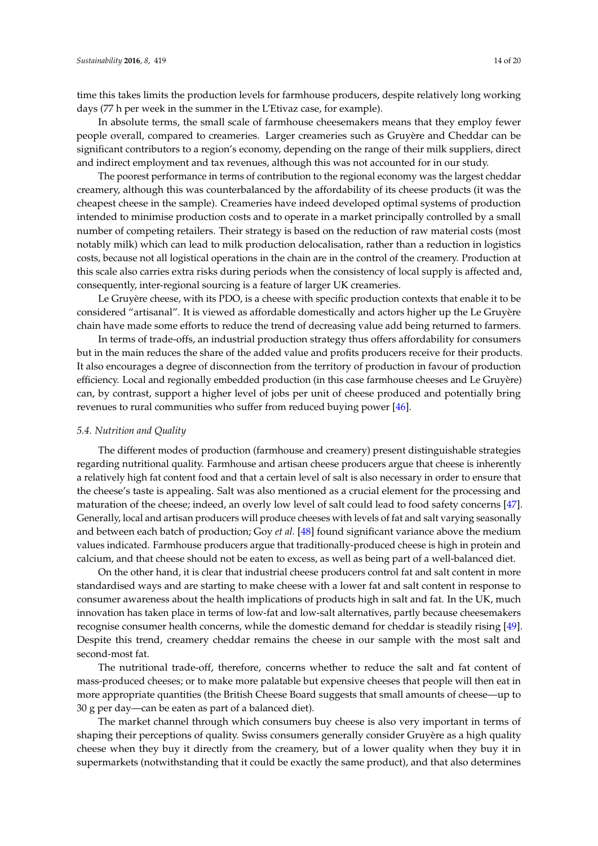time this takes limits the production levels for farmhouse producers, despite relatively long working days (77 h per week in the summer in the L'Etivaz case, for example).

In absolute terms, the small scale of farmhouse cheesemakers means that they employ fewer people overall, compared to creameries. Larger creameries such as Gruyère and Cheddar can be significant contributors to a region's economy, depending on the range of their milk suppliers, direct and indirect employment and tax revenues, although this was not accounted for in our study.

The poorest performance in terms of contribution to the regional economy was the largest cheddar creamery, although this was counterbalanced by the affordability of its cheese products (it was the cheapest cheese in the sample). Creameries have indeed developed optimal systems of production intended to minimise production costs and to operate in a market principally controlled by a small number of competing retailers. Their strategy is based on the reduction of raw material costs (most notably milk) which can lead to milk production delocalisation, rather than a reduction in logistics costs, because not all logistical operations in the chain are in the control of the creamery. Production at this scale also carries extra risks during periods when the consistency of local supply is affected and, consequently, inter-regional sourcing is a feature of larger UK creameries.

Le Gruyère cheese, with its PDO, is a cheese with specific production contexts that enable it to be considered "artisanal". It is viewed as affordable domestically and actors higher up the Le Gruyère chain have made some efforts to reduce the trend of decreasing value add being returned to farmers.

In terms of trade-offs, an industrial production strategy thus offers affordability for consumers but in the main reduces the share of the added value and profits producers receive for their products. It also encourages a degree of disconnection from the territory of production in favour of production efficiency. Local and regionally embedded production (in this case farmhouse cheeses and Le Gruyère) can, by contrast, support a higher level of jobs per unit of cheese produced and potentially bring revenues to rural communities who suffer from reduced buying power [\[46\]](#page-20-2).

#### *5.4. Nutrition and Quality*

The different modes of production (farmhouse and creamery) present distinguishable strategies regarding nutritional quality. Farmhouse and artisan cheese producers argue that cheese is inherently a relatively high fat content food and that a certain level of salt is also necessary in order to ensure that the cheese's taste is appealing. Salt was also mentioned as a crucial element for the processing and maturation of the cheese; indeed, an overly low level of salt could lead to food safety concerns [\[47\]](#page-20-3). Generally, local and artisan producers will produce cheeses with levels of fat and salt varying seasonally and between each batch of production; Goy *et al.* [\[48\]](#page-20-4) found significant variance above the medium values indicated. Farmhouse producers argue that traditionally-produced cheese is high in protein and calcium, and that cheese should not be eaten to excess, as well as being part of a well-balanced diet.

On the other hand, it is clear that industrial cheese producers control fat and salt content in more standardised ways and are starting to make cheese with a lower fat and salt content in response to consumer awareness about the health implications of products high in salt and fat. In the UK, much innovation has taken place in terms of low-fat and low-salt alternatives, partly because cheesemakers recognise consumer health concerns, while the domestic demand for cheddar is steadily rising [\[49\]](#page-20-5). Despite this trend, creamery cheddar remains the cheese in our sample with the most salt and second-most fat.

The nutritional trade-off, therefore, concerns whether to reduce the salt and fat content of mass-produced cheeses; or to make more palatable but expensive cheeses that people will then eat in more appropriate quantities (the British Cheese Board suggests that small amounts of cheese—up to 30 g per day—can be eaten as part of a balanced diet).

The market channel through which consumers buy cheese is also very important in terms of shaping their perceptions of quality. Swiss consumers generally consider Gruyère as a high quality cheese when they buy it directly from the creamery, but of a lower quality when they buy it in supermarkets (notwithstanding that it could be exactly the same product), and that also determines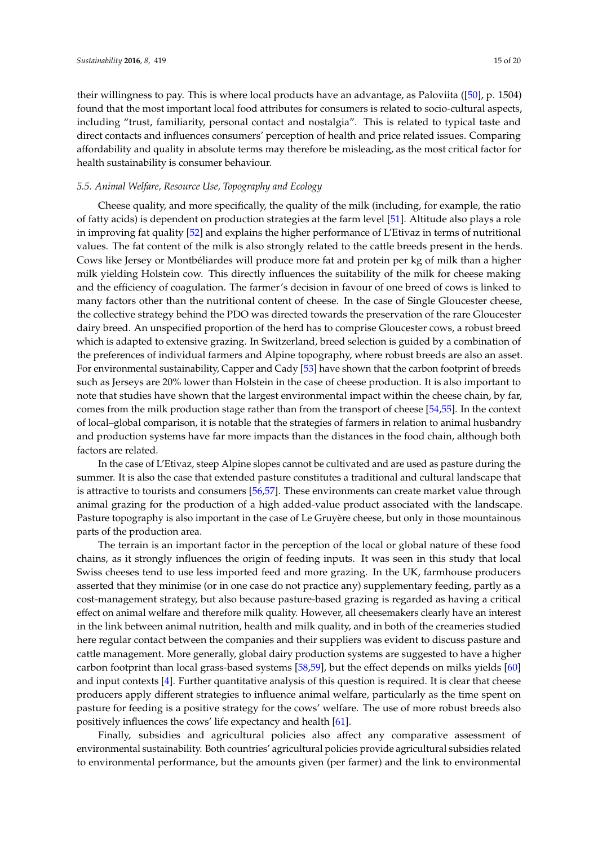their willingness to pay. This is where local products have an advantage, as Paloviita ([\[50\]](#page-20-6), p. 1504) found that the most important local food attributes for consumers is related to socio-cultural aspects, including "trust, familiarity, personal contact and nostalgia". This is related to typical taste and direct contacts and influences consumers' perception of health and price related issues. Comparing affordability and quality in absolute terms may therefore be misleading, as the most critical factor for health sustainability is consumer behaviour.

#### *5.5. Animal Welfare, Resource Use, Topography and Ecology*

Cheese quality, and more specifically, the quality of the milk (including, for example, the ratio of fatty acids) is dependent on production strategies at the farm level [\[51\]](#page-20-7). Altitude also plays a role in improving fat quality [\[52\]](#page-20-8) and explains the higher performance of L'Etivaz in terms of nutritional values. The fat content of the milk is also strongly related to the cattle breeds present in the herds. Cows like Jersey or Montbéliardes will produce more fat and protein per kg of milk than a higher milk yielding Holstein cow. This directly influences the suitability of the milk for cheese making and the efficiency of coagulation. The farmer's decision in favour of one breed of cows is linked to many factors other than the nutritional content of cheese. In the case of Single Gloucester cheese, the collective strategy behind the PDO was directed towards the preservation of the rare Gloucester dairy breed. An unspecified proportion of the herd has to comprise Gloucester cows, a robust breed which is adapted to extensive grazing. In Switzerland, breed selection is guided by a combination of the preferences of individual farmers and Alpine topography, where robust breeds are also an asset. For environmental sustainability, Capper and Cady [\[53\]](#page-20-9) have shown that the carbon footprint of breeds such as Jerseys are 20% lower than Holstein in the case of cheese production. It is also important to note that studies have shown that the largest environmental impact within the cheese chain, by far, comes from the milk production stage rather than from the transport of cheese [\[54](#page-20-10)[,55\]](#page-20-11). In the context of local–global comparison, it is notable that the strategies of farmers in relation to animal husbandry and production systems have far more impacts than the distances in the food chain, although both factors are related.

In the case of L'Etivaz, steep Alpine slopes cannot be cultivated and are used as pasture during the summer. It is also the case that extended pasture constitutes a traditional and cultural landscape that is attractive to tourists and consumers [\[56,](#page-20-12)[57\]](#page-20-13). These environments can create market value through animal grazing for the production of a high added-value product associated with the landscape. Pasture topography is also important in the case of Le Gruyère cheese, but only in those mountainous parts of the production area.

The terrain is an important factor in the perception of the local or global nature of these food chains, as it strongly influences the origin of feeding inputs. It was seen in this study that local Swiss cheeses tend to use less imported feed and more grazing. In the UK, farmhouse producers asserted that they minimise (or in one case do not practice any) supplementary feeding, partly as a cost-management strategy, but also because pasture-based grazing is regarded as having a critical effect on animal welfare and therefore milk quality. However, all cheesemakers clearly have an interest in the link between animal nutrition, health and milk quality, and in both of the creameries studied here regular contact between the companies and their suppliers was evident to discuss pasture and cattle management. More generally, global dairy production systems are suggested to have a higher carbon footprint than local grass-based systems [\[58](#page-20-14)[,59\]](#page-20-15), but the effect depends on milks yields [\[60\]](#page-20-16) and input contexts  $[4]$ . Further quantitative analysis of this question is required. It is clear that cheese producers apply different strategies to influence animal welfare, particularly as the time spent on pasture for feeding is a positive strategy for the cows' welfare. The use of more robust breeds also positively influences the cows' life expectancy and health [\[61\]](#page-20-17).

Finally, subsidies and agricultural policies also affect any comparative assessment of environmental sustainability. Both countries' agricultural policies provide agricultural subsidies related to environmental performance, but the amounts given (per farmer) and the link to environmental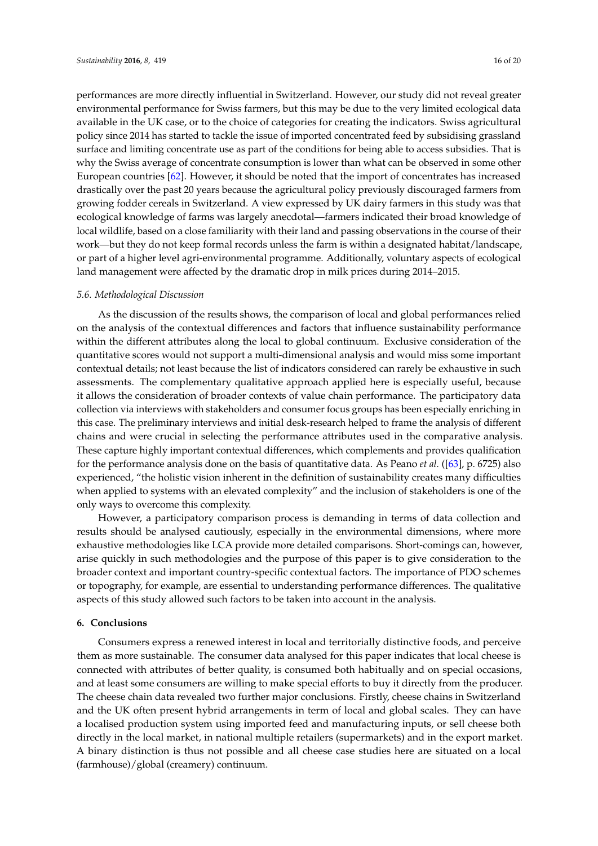performances are more directly influential in Switzerland. However, our study did not reveal greater environmental performance for Swiss farmers, but this may be due to the very limited ecological data available in the UK case, or to the choice of categories for creating the indicators. Swiss agricultural policy since 2014 has started to tackle the issue of imported concentrated feed by subsidising grassland surface and limiting concentrate use as part of the conditions for being able to access subsidies. That is why the Swiss average of concentrate consumption is lower than what can be observed in some other European countries [\[62\]](#page-20-18). However, it should be noted that the import of concentrates has increased drastically over the past 20 years because the agricultural policy previously discouraged farmers from growing fodder cereals in Switzerland. A view expressed by UK dairy farmers in this study was that ecological knowledge of farms was largely anecdotal—farmers indicated their broad knowledge of local wildlife, based on a close familiarity with their land and passing observations in the course of their work—but they do not keep formal records unless the farm is within a designated habitat/landscape, or part of a higher level agri-environmental programme. Additionally, voluntary aspects of ecological land management were affected by the dramatic drop in milk prices during 2014–2015.

#### *5.6. Methodological Discussion*

As the discussion of the results shows, the comparison of local and global performances relied on the analysis of the contextual differences and factors that influence sustainability performance within the different attributes along the local to global continuum. Exclusive consideration of the quantitative scores would not support a multi-dimensional analysis and would miss some important contextual details; not least because the list of indicators considered can rarely be exhaustive in such assessments. The complementary qualitative approach applied here is especially useful, because it allows the consideration of broader contexts of value chain performance. The participatory data collection via interviews with stakeholders and consumer focus groups has been especially enriching in this case. The preliminary interviews and initial desk-research helped to frame the analysis of different chains and were crucial in selecting the performance attributes used in the comparative analysis. These capture highly important contextual differences, which complements and provides qualification for the performance analysis done on the basis of quantitative data. As Peano *et al.* ([\[63\]](#page-20-19), p. 6725) also experienced, "the holistic vision inherent in the definition of sustainability creates many difficulties when applied to systems with an elevated complexity" and the inclusion of stakeholders is one of the only ways to overcome this complexity.

However, a participatory comparison process is demanding in terms of data collection and results should be analysed cautiously, especially in the environmental dimensions, where more exhaustive methodologies like LCA provide more detailed comparisons. Short-comings can, however, arise quickly in such methodologies and the purpose of this paper is to give consideration to the broader context and important country-specific contextual factors. The importance of PDO schemes or topography, for example, are essential to understanding performance differences. The qualitative aspects of this study allowed such factors to be taken into account in the analysis.

#### **6. Conclusions**

Consumers express a renewed interest in local and territorially distinctive foods, and perceive them as more sustainable. The consumer data analysed for this paper indicates that local cheese is connected with attributes of better quality, is consumed both habitually and on special occasions, and at least some consumers are willing to make special efforts to buy it directly from the producer. The cheese chain data revealed two further major conclusions. Firstly, cheese chains in Switzerland and the UK often present hybrid arrangements in term of local and global scales. They can have a localised production system using imported feed and manufacturing inputs, or sell cheese both directly in the local market, in national multiple retailers (supermarkets) and in the export market. A binary distinction is thus not possible and all cheese case studies here are situated on a local (farmhouse)/global (creamery) continuum.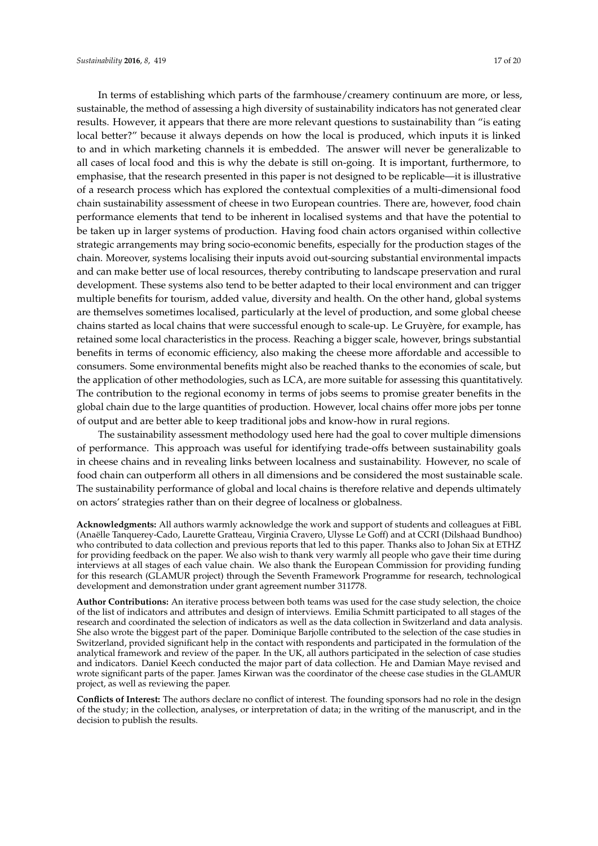In terms of establishing which parts of the farmhouse/creamery continuum are more, or less, sustainable, the method of assessing a high diversity of sustainability indicators has not generated clear results. However, it appears that there are more relevant questions to sustainability than "is eating local better?" because it always depends on how the local is produced, which inputs it is linked to and in which marketing channels it is embedded. The answer will never be generalizable to all cases of local food and this is why the debate is still on-going. It is important, furthermore, to emphasise, that the research presented in this paper is not designed to be replicable—it is illustrative of a research process which has explored the contextual complexities of a multi-dimensional food chain sustainability assessment of cheese in two European countries. There are, however, food chain performance elements that tend to be inherent in localised systems and that have the potential to be taken up in larger systems of production. Having food chain actors organised within collective strategic arrangements may bring socio-economic benefits, especially for the production stages of the chain. Moreover, systems localising their inputs avoid out-sourcing substantial environmental impacts and can make better use of local resources, thereby contributing to landscape preservation and rural development. These systems also tend to be better adapted to their local environment and can trigger multiple benefits for tourism, added value, diversity and health. On the other hand, global systems are themselves sometimes localised, particularly at the level of production, and some global cheese chains started as local chains that were successful enough to scale-up. Le Gruyère, for example, has retained some local characteristics in the process. Reaching a bigger scale, however, brings substantial benefits in terms of economic efficiency, also making the cheese more affordable and accessible to consumers. Some environmental benefits might also be reached thanks to the economies of scale, but the application of other methodologies, such as LCA, are more suitable for assessing this quantitatively. The contribution to the regional economy in terms of jobs seems to promise greater benefits in the global chain due to the large quantities of production. However, local chains offer more jobs per tonne of output and are better able to keep traditional jobs and know-how in rural regions.

The sustainability assessment methodology used here had the goal to cover multiple dimensions of performance. This approach was useful for identifying trade-offs between sustainability goals in cheese chains and in revealing links between localness and sustainability. However, no scale of food chain can outperform all others in all dimensions and be considered the most sustainable scale. The sustainability performance of global and local chains is therefore relative and depends ultimately on actors' strategies rather than on their degree of localness or globalness.

**Acknowledgments:** All authors warmly acknowledge the work and support of students and colleagues at FiBL (Anaëlle Tanquerey-Cado, Laurette Gratteau, Virginia Cravero, Ulysse Le Goff) and at CCRI (Dilshaad Bundhoo) who contributed to data collection and previous reports that led to this paper. Thanks also to Johan Six at ETHZ for providing feedback on the paper. We also wish to thank very warmly all people who gave their time during interviews at all stages of each value chain. We also thank the European Commission for providing funding for this research (GLAMUR project) through the Seventh Framework Programme for research, technological development and demonstration under grant agreement number 311778.

**Author Contributions:** An iterative process between both teams was used for the case study selection, the choice of the list of indicators and attributes and design of interviews. Emilia Schmitt participated to all stages of the research and coordinated the selection of indicators as well as the data collection in Switzerland and data analysis. She also wrote the biggest part of the paper. Dominique Barjolle contributed to the selection of the case studies in Switzerland, provided significant help in the contact with respondents and participated in the formulation of the analytical framework and review of the paper. In the UK, all authors participated in the selection of case studies and indicators. Daniel Keech conducted the major part of data collection. He and Damian Maye revised and wrote significant parts of the paper. James Kirwan was the coordinator of the cheese case studies in the GLAMUR project, as well as reviewing the paper.

**Conflicts of Interest:** The authors declare no conflict of interest. The founding sponsors had no role in the design of the study; in the collection, analyses, or interpretation of data; in the writing of the manuscript, and in the decision to publish the results.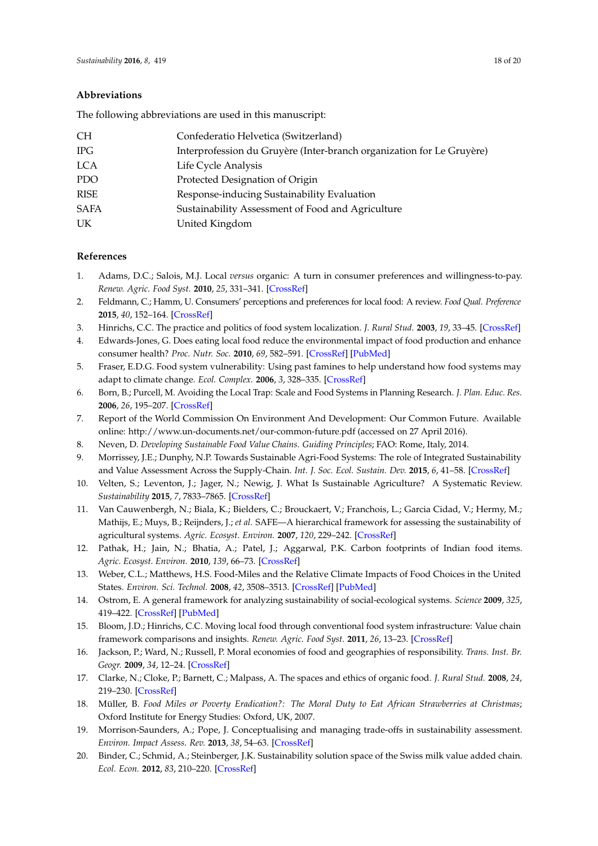#### **Abbreviations**

The following abbreviations are used in this manuscript:

| <b>CH</b>   | Confederatio Helvetica (Switzerland)                                  |
|-------------|-----------------------------------------------------------------------|
| IPG         | Interprofession du Gruyère (Inter-branch organization for Le Gruyère) |
| <b>LCA</b>  | Life Cycle Analysis                                                   |
| <b>PDO</b>  | Protected Designation of Origin                                       |
| <b>RISE</b> | Response-inducing Sustainability Evaluation                           |
| <b>SAFA</b> | Sustainability Assessment of Food and Agriculture                     |
| UK          | United Kingdom                                                        |

#### **References**

- <span id="page-18-0"></span>1. Adams, D.C.; Salois, M.J. Local *versus* organic: A turn in consumer preferences and willingness-to-pay. *Renew. Agric. Food Syst.* **2010**, *25*, 331–341. [\[CrossRef\]](http://dx.doi.org/10.1017/S1742170510000219)
- <span id="page-18-1"></span>2. Feldmann, C.; Hamm, U. Consumers' perceptions and preferences for local food: A review. *Food Qual. Preference* **2015**, *40*, 152–164. [\[CrossRef\]](http://dx.doi.org/10.1016/j.foodqual.2014.09.014)
- <span id="page-18-2"></span>3. Hinrichs, C.C. The practice and politics of food system localization. *J. Rural Stud.* **2003**, *19*, 33–45. [\[CrossRef\]](http://dx.doi.org/10.1016/S0743-0167(02)00040-2)
- <span id="page-18-18"></span>4. Edwards-Jones, G. Does eating local food reduce the environmental impact of food production and enhance consumer health? *Proc. Nutr. Soc.* **2010**, *69*, 582–591. [\[CrossRef\]](http://dx.doi.org/10.1017/S0029665110002004) [\[PubMed\]](http://www.ncbi.nlm.nih.gov/pubmed/20696093)
- <span id="page-18-3"></span>5. Fraser, E.D.G. Food system vulnerability: Using past famines to help understand how food systems may adapt to climate change. *Ecol. Complex.* **2006**, *3*, 328–335. [\[CrossRef\]](http://dx.doi.org/10.1016/j.ecocom.2007.02.006)
- <span id="page-18-4"></span>6. Born, B.; Purcell, M. Avoiding the Local Trap: Scale and Food Systems in Planning Research. *J. Plan. Educ. Res.* **2006**, *26*, 195–207. [\[CrossRef\]](http://dx.doi.org/10.1177/0739456X06291389)
- <span id="page-18-5"></span>7. Report of the World Commission On Environment And Development: Our Common Future. Available online: http://www.un-documents.net/our-common-future.pdf (accessed on 27 April 2016).
- <span id="page-18-6"></span>8. Neven, D. *Developing Sustainable Food Value Chains. Guiding Principles*; FAO: Rome, Italy, 2014.
- <span id="page-18-7"></span>9. Morrissey, J.E.; Dunphy, N.P. Towards Sustainable Agri-Food Systems: The role of Integrated Sustainability and Value Assessment Across the Supply-Chain. *Int. J. Soc. Ecol. Sustain. Dev.* **2015**, *6*, 41–58. [\[CrossRef\]](http://dx.doi.org/10.4018/IJSESD.2015070104)
- <span id="page-18-8"></span>10. Velten, S.; Leventon, J.; Jager, N.; Newig, J. What Is Sustainable Agriculture? A Systematic Review. *Sustainability* **2015**, *7*, 7833–7865. [\[CrossRef\]](http://dx.doi.org/10.3390/su7067833)
- <span id="page-18-9"></span>11. Van Cauwenbergh, N.; Biala, K.; Bielders, C.; Brouckaert, V.; Franchois, L.; Garcia Cidad, V.; Hermy, M.; Mathijs, E.; Muys, B.; Reijnders, J.; *et al.* SAFE—A hierarchical framework for assessing the sustainability of agricultural systems. *Agric. Ecosyst. Environ.* **2007**, *120*, 229–242. [\[CrossRef\]](http://dx.doi.org/10.1016/j.agee.2006.09.006)
- <span id="page-18-10"></span>12. Pathak, H.; Jain, N.; Bhatia, A.; Patel, J.; Aggarwal, P.K. Carbon footprints of Indian food items. *Agric. Ecosyst. Environ.* **2010**, *139*, 66–73. [\[CrossRef\]](http://dx.doi.org/10.1016/j.agee.2010.07.002)
- <span id="page-18-11"></span>13. Weber, C.L.; Matthews, H.S. Food-Miles and the Relative Climate Impacts of Food Choices in the United States. *Environ. Sci. Technol.* **2008**, *42*, 3508–3513. [\[CrossRef\]](http://dx.doi.org/10.1021/es702969f) [\[PubMed\]](http://www.ncbi.nlm.nih.gov/pubmed/18546681)
- <span id="page-18-12"></span>14. Ostrom, E. A general framework for analyzing sustainability of social-ecological systems. *Science* **2009**, *325*, 419–422. [\[CrossRef\]](http://dx.doi.org/10.1126/science.1172133) [\[PubMed\]](http://www.ncbi.nlm.nih.gov/pubmed/19628857)
- <span id="page-18-13"></span>15. Bloom, J.D.; Hinrichs, C.C. Moving local food through conventional food system infrastructure: Value chain framework comparisons and insights. *Renew. Agric. Food Syst.* **2011**, *26*, 13–23. [\[CrossRef\]](http://dx.doi.org/10.1017/S1742170510000384)
- <span id="page-18-14"></span>16. Jackson, P.; Ward, N.; Russell, P. Moral economies of food and geographies of responsibility. *Trans. Inst. Br. Geogr.* **2009**, *34*, 12–24. [\[CrossRef\]](http://dx.doi.org/10.1111/j.1475-5661.2008.00330.x)
- 17. Clarke, N.; Cloke, P.; Barnett, C.; Malpass, A. The spaces and ethics of organic food. *J. Rural Stud.* **2008**, *24*, 219–230. [\[CrossRef\]](http://dx.doi.org/10.1016/j.jrurstud.2007.12.008)
- <span id="page-18-15"></span>18. Müller, B. *Food Miles or Poverty Eradication?: The Moral Duty to Eat African Strawberries at Christmas*; Oxford Institute for Energy Studies: Oxford, UK, 2007.
- <span id="page-18-16"></span>19. Morrison-Saunders, A.; Pope, J. Conceptualising and managing trade-offs in sustainability assessment. *Environ. Impact Assess. Rev.* **2013**, *38*, 54–63. [\[CrossRef\]](http://dx.doi.org/10.1016/j.eiar.2012.06.003)
- <span id="page-18-17"></span>20. Binder, C.; Schmid, A.; Steinberger, J.K. Sustainability solution space of the Swiss milk value added chain. *Ecol. Econ.* **2012**, *83*, 210–220. [\[CrossRef\]](http://dx.doi.org/10.1016/j.ecolecon.2012.06.022)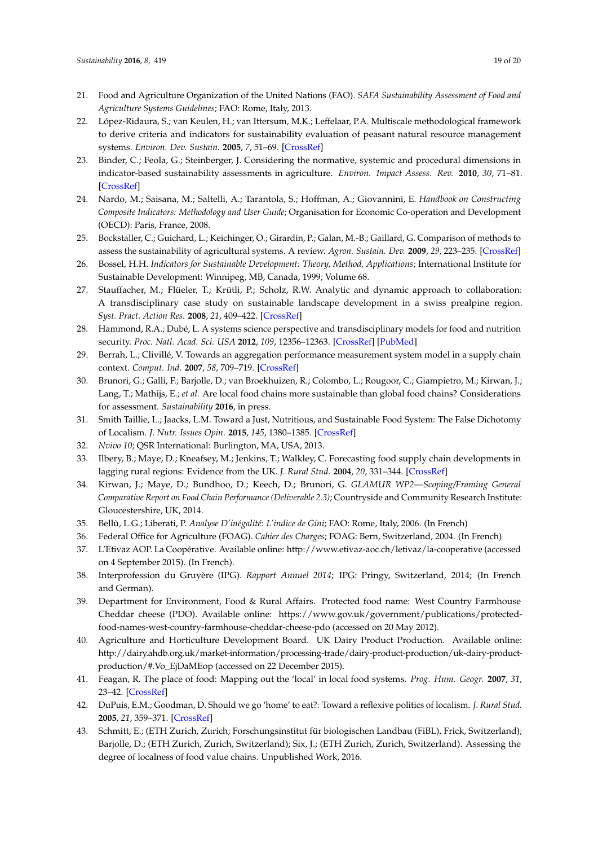- <span id="page-19-0"></span>21. Food and Agriculture Organization of the United Nations (FAO). *SAFA Sustainability Assessment of Food and Agriculture Systems Guidelines*; FAO: Rome, Italy, 2013.
- <span id="page-19-1"></span>22. López-Ridaura, S.; van Keulen, H.; van Ittersum, M.K.; Leffelaar, P.A. Multiscale methodological framework to derive criteria and indicators for sustainability evaluation of peasant natural resource management systems. *Environ. Dev. Sustain.* **2005**, *7*, 51–69. [\[CrossRef\]](http://dx.doi.org/10.1007/s10668-003-6976-x)
- <span id="page-19-2"></span>23. Binder, C.; Feola, G.; Steinberger, J. Considering the normative, systemic and procedural dimensions in indicator-based sustainability assessments in agriculture. *Environ. Impact Assess. Rev.* **2010**, *30*, 71–81. [\[CrossRef\]](http://dx.doi.org/10.1016/j.eiar.2009.06.002)
- <span id="page-19-3"></span>24. Nardo, M.; Saisana, M.; Saltelli, A.; Tarantola, S.; Hoffman, A.; Giovannini, E. *Handbook on Constructing Composite Indicators: Methodology and User Guide*; Organisation for Economic Co-operation and Development (OECD): Paris, France, 2008.
- <span id="page-19-4"></span>25. Bockstaller, C.; Guichard, L.; Keichinger, O.; Girardin, P.; Galan, M.-B.; Gaillard, G. Comparison of methods to assess the sustainability of agricultural systems. A review. *Agron. Sustain. Dev.* **2009**, *29*, 223–235. [\[CrossRef\]](http://dx.doi.org/10.1051/agro:2008058)
- <span id="page-19-14"></span><span id="page-19-5"></span>26. Bossel, H.H. *Indicators for Sustainable Development: Theory, Method, Applications*; International Institute for Sustainable Development: Winnipeg, MB, Canada, 1999; Volume 68.
- <span id="page-19-6"></span>27. Stauffacher, M.; Flüeler, T.; Krütli, P.; Scholz, R.W. Analytic and dynamic approach to collaboration: A transdisciplinary case study on sustainable landscape development in a swiss prealpine region. *Syst. Pract. Action Res.* **2008**, *21*, 409–422. [\[CrossRef\]](http://dx.doi.org/10.1007/s11213-008-9107-7)
- <span id="page-19-7"></span>28. Hammond, R.A.; Dubé, L. A systems science perspective and transdisciplinary models for food and nutrition security. *Proc. Natl. Acad. Sci. USA* **2012**, *109*, 12356–12363. [\[CrossRef\]](http://dx.doi.org/10.1073/pnas.0913003109) [\[PubMed\]](http://www.ncbi.nlm.nih.gov/pubmed/22826247)
- <span id="page-19-8"></span>29. Berrah, L.; Clivillé, V. Towards an aggregation performance measurement system model in a supply chain context. *Comput. Ind.* **2007**, *58*, 709–719. [\[CrossRef\]](http://dx.doi.org/10.1016/j.compind.2007.05.012)
- <span id="page-19-9"></span>30. Brunori, G.; Galli, F.; Barjolle, D.; van Broekhuizen, R.; Colombo, L.; Rougoor, C.; Giampietro, M.; Kirwan, J.; Lang, T.; Mathijs, E.; *et al.* Are local food chains more sustainable than global food chains? Considerations for assessment. *Sustainability* **2016**, in press.
- <span id="page-19-10"></span>31. Smith Taillie, L.; Jaacks, L.M. Toward a Just, Nutritious, and Sustainable Food System: The False Dichotomy of Localism. *J. Nutr. Issues Opin.* **2015**, *145*, 1380–1385. [\[CrossRef\]](http://dx.doi.org/10.3945/jn.115.212449)
- <span id="page-19-11"></span>32. *Nvivo 10*; QSR International: Burlington, MA, USA, 2013.
- <span id="page-19-12"></span>33. Ilbery, B.; Maye, D.; Kneafsey, M.; Jenkins, T.; Walkley, C. Forecasting food supply chain developments in lagging rural regions: Evidence from the UK. *J. Rural Stud.* **2004**, *20*, 331–344. [\[CrossRef\]](http://dx.doi.org/10.1016/j.jrurstud.2003.09.001)
- <span id="page-19-13"></span>34. Kirwan, J.; Maye, D.; Bundhoo, D.; Keech, D.; Brunori, G. *GLAMUR WP2—Scoping/Framing General Comparative Report on Food Chain Performance (Deliverable 2.3)*; Countryside and Community Research Institute: Gloucestershire, UK, 2014.
- <span id="page-19-18"></span>35. Bellù, L.G.; Liberati, P. *Analyse D'inégalité: L'indice de Gini*; FAO: Rome, Italy, 2006. (In French)
- <span id="page-19-15"></span>36. Federal Office for Agriculture (FOAG). *Cahier des Charges*; FOAG: Bern, Switzerland, 2004. (In French)
- <span id="page-19-16"></span>37. L'Etivaz AOP. La Coopérative. Available online: http://www.etivaz-aoc.ch/letivaz/la-cooperative (accessed on 4 September 2015). (In French).
- 38. Interprofession du Gruyère (IPG). *Rapport Annuel 2014*; IPG: Pringy, Switzerland, 2014; (In French and German).
- 39. Department for Environment, Food & Rural Affairs. Protected food name: West Country Farmhouse Cheddar cheese (PDO). Available online: https://www.gov.uk/government/publications/protectedfood-names-west-country-farmhouse-cheddar-cheese-pdo (accessed on 20 May 2012).
- <span id="page-19-17"></span>40. Agriculture and Horticulture Development Board. UK Dairy Product Production. Available online: http://dairy.ahdb.org.uk/market-information/processing-trade/dairy-product-production/uk-dairy-productproduction/#.Vo\_EjDaMEop (accessed on 22 December 2015).
- <span id="page-19-19"></span>41. Feagan, R. The place of food: Mapping out the 'local' in local food systems. *Prog. Hum. Geogr.* **2007**, *31*, 23–42. [\[CrossRef\]](http://dx.doi.org/10.1177/0309132507073527)
- <span id="page-19-20"></span>42. DuPuis, E.M.; Goodman, D. Should we go 'home' to eat?: Toward a reflexive politics of localism. *J. Rural Stud.* **2005**, *21*, 359–371. [\[CrossRef\]](http://dx.doi.org/10.1016/j.jrurstud.2005.05.011)
- <span id="page-19-21"></span>43. Schmitt, E.; (ETH Zurich, Zurich; Forschungsinstitut für biologischen Landbau (FiBL), Frick, Switzerland); Barjolle, D.; (ETH Zurich, Zurich, Switzerland); Six, J.; (ETH Zurich, Zurich, Switzerland). Assessing the degree of localness of food value chains. Unpublished Work, 2016.